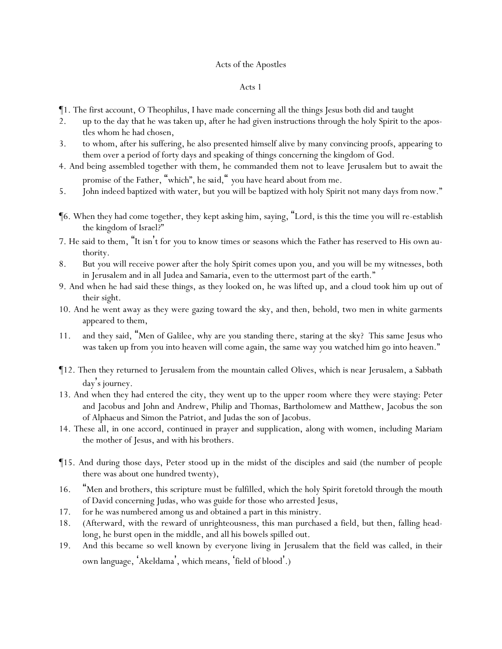# Acts of the Apostles

- ¶1. The first account, O Theophilus, I have made concerning all the things Jesus both did and taught
- 2. up to the day that he was taken up, after he had given instructions through the holy Spirit to the apostles whom he had chosen,
- 3. to whom, after his suffering, he also presented himself alive by many convincing proofs, appearing to them over a period of forty days and speaking of things concerning the kingdom of God.
- 4. And being assembled together with them, he commanded them not to leave Jerusalem but to await the promise of the Father, "which"*, he said,* " *y*ou have heard about from me.
- 5. John indeed baptized with water, but *y*ou will be baptized with holy Spirit not many days from now."
- ¶6. When they had come together, they kept asking him, saying, "Lord, is this the time you will re-establish the kingdom of Israel?"
- 7. He said to them, "It isn't for *y*ou to know times or seasons which the Father has reserved to His own authority.
- 8. But *y*ou will receive power after the holy Spirit comes upon *y*ou, and *y*ou will be my witnesses, both in Jerusalem and in all Judea and Samaria, even to the uttermost part of the earth."
- 9. And when he had said these things, as they looked on, he was lifted up, and a cloud took him up out of their sight.
- 10. And he went away as they were gazing toward the sky, and then, behold, two men in white garments appeared to them,
- 11. and they said, "Men of Galilee, why are *y*ou standing there, staring at the sky? This same Jesus who was taken up from *y*ou into heaven will come *again*, the same way *y*ou watched him go into heaven."
- ¶12. Then they returned to Jerusalem from the mountain called Olives, which is near Jerusalem, a Sabbath day's journey.
- 13. And when they had entered the city, they went up to the upper room where they were staying: Peter and Jacobus and John and Andrew, Philip and Thomas, Bartholomew and Matthew, Jacobus the son of Alphaeus and Simon the Patriot, and Judas the son of Jacobus.
- 14. These all, in one accord, continued in prayer and supplication, along with women, including Mariam the mother of Jesus, and with his brothers.
- ¶15. And during those days, Peter stood up in the midst of the disciples and said (the number of people there was about one hundred twenty),
- 16. "Men and brothers, this scripture must be fulfilled, which the holy Spirit foretold through the mouth of David concerning Judas, who was guide for those who arrested Jesus,
- 17. for he was numbered among us and obtained a part in this ministry.
- 18. (Afterward, with the reward of unrighteousness, this man purchased a field, but then, falling headlong, he burst open in the middle, and all his bowels spilled out.
- 19. And this became so well known by everyone living in Jerusalem that the field was called, in their own language, 'Akeldama', which means, 'field of blood'.)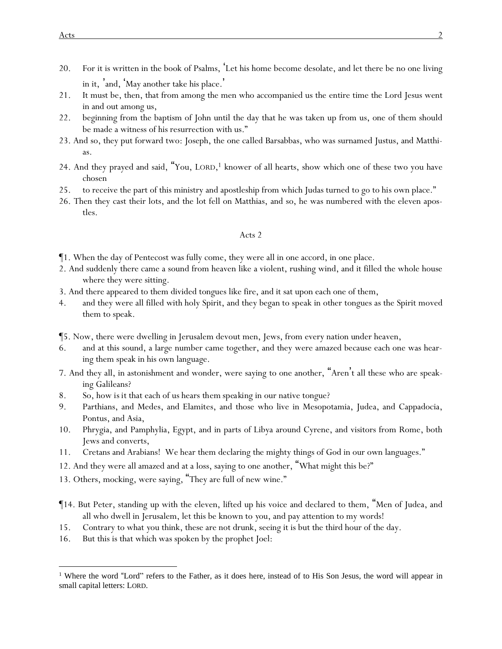- 20. For it is written in the book of Psalms, 'Let his home become desolate, and let there be no one living in it, 'and, 'May another take his place. '
- 21. It must be, then, that from among the men who accompanied us the entire time the Lord Jesus went in and out among us,
- 22. beginning from the baptism of John until the day that he was taken up from us, one of them should be made a witness of his resurrection with us."
- 23. And so, they put forward two: Joseph, the one called Barsabbas, who was surnamed Justus, and Matthias.
- 24. And they prayed and said, "You, LORD, <sup>1</sup> knower of all hearts, show which one of these two you have chosen
- 25. to receive the part of this ministry and apostleship from which Judas turned to go to his own place."
- 26. Then they cast their lots, and the lot fell on Matthias, and so, he was numbered with the eleven apostles.

- ¶1. When the day of Pentecost was fully come, they were all in one accord, in one place.
- 2. And suddenly there came a sound from heaven like a violent, rushing wind, and it filled the whole house where they were sitting.
- 3. And there appeared to them divided tongues like fire, and it sat upon each one of them,
- 4. and they were all filled with holy Spirit, and they began to speak in other tongues as the Spirit moved them to speak.
- ¶5. Now, there were dwelling in Jerusalem devout men, Jews, from every nation under heaven,
- 6. and at this sound, a large number came together, and they were amazed because each one was hearing them speak in his own language.
- 7. And they all, in astonishment and wonder, were saying to one another, "Aren't all these who are speaking Galileans?
- 8. So, how *is it* that each of us hears *them speaking* in our native tongue?
- 9. Parthians, and Medes, and Elamites, and those who live in Mesopotamia, Judea, and Cappadocia, Pontus, and Asia,
- 10. Phrygia, and Pamphylia, Egypt, and in parts of Libya around Cyrene, and visitors from Rome, both Jews and converts,
- 11. Cretans and Arabians! We hear them declaring the mighty things of God in our own languages."
- 12. And they were all amazed and at a loss, saying to one another, "What might this be?"
- 13. Others, mocking, were saying, "They are full of new wine."
- ¶14. But Peter, standing up with the eleven, lifted up his voice and declared to them, "Men of Judea, and all who dwell in Jerusalem, let this be known to *y*ou, and pay attention to my words!
- 15. Contrary to what *y*ou think, these are not drunk, seeing it is but the third hour of the day.
- 16. But this is that which was spoken by the prophet Joel:

<sup>&</sup>lt;sup>1</sup> Where the word "Lord" refers to the Father, as it does here, instead of to His Son Jesus, the word will appear in small capital letters: LORD.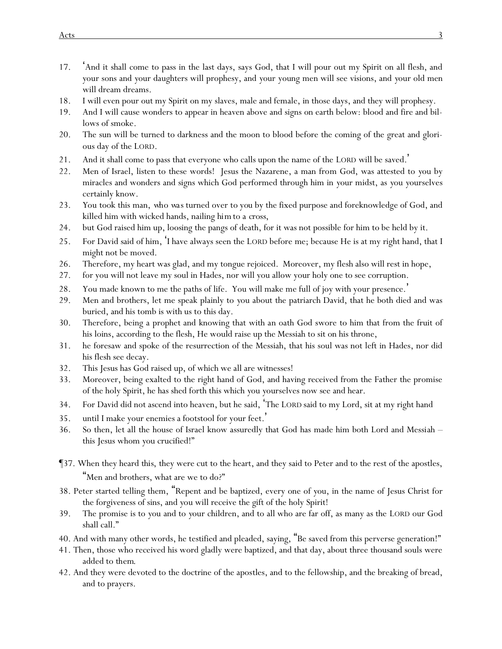- 17. 'And it shall come to pass in the last days, says God, that I will pour out my Spirit on all flesh, and *y*our sons and *y*our daughters will prophesy, and *y*our young men will see visions, and *y*our old men will dream dreams.
- 18. I will even pour out my Spirit on my slaves, male and female, in those days, and they will prophesy.
- 19. And I will cause wonders to appear in heaven above and signs on earth below: blood and fire and billows of smoke.
- 20. The sun will be turned to darkness and the moon to blood before the coming of the great and glorious day of the LORD.
- 21. And it shall come to pass that everyone who calls upon the name of the LORD will be saved. '
- 22. Men of Israel, listen to these words! Jesus the Nazarene, a man from God, was attested to *y*ou by miracles and wonders and signs which God performed through him in *y*our midst, as *y*ou *y*ourselves certainly know.
- 23. *Y*ou took this man, *who was* turned over *to you* by the fixed purpose and foreknowledge of God, and killed him with wicked hands, nailing *him*to *a cross*,
- 24. but God raised him up, loosing the pangs of death, for it was not possible for him to be held by it.
- 25. For David said of him, 'I have always seen the LORD before me; because He is at my right hand, that I might not be moved.
- 26. Therefore, my heart was glad, and my tongue rejoiced. Moreover, my flesh also will rest in hope,
- 27. for you will not leave my soul in Hades, nor will you allow your holy one to see corruption.
- 28. You made known to me the paths of life. You will make me full of joy with your presence.'
- 29. Men and brothers, let me speak plainly to *y*ou about the patriarch David, that he both died and was buried, and his tomb is with us to this day.
- 30. Therefore, being a prophet and knowing that with an oath God swore to him that from the fruit of his loins, according to the flesh, He would raise up the Messiah to sit on his throne,
- 31. he foresaw and spoke of the resurrection of the Messiah, that his soul was not left in Hades, nor did his flesh see decay.
- 32. This Jesus has God raised up, of which we all are witnesses!
- 33. Moreover, being exalted to the right hand of God, and having received from the Father the promise of the holy Spirit, he has shed forth this which *y*ou *y*ourselves now see and hear.
- 34. For David did not ascend into heaven, but he said, 'The LORD said to my Lord, sit at my right hand
- 35. until I make your enemies a footstool for your feet. '
- 36. So then, let all the house of Israel know assuredly that God has made him both Lord and Messiah this Jesus whom *y*ou crucified!"
- ¶37. When they heard *this*, they were cut to the heart, and they said to Peter and to the rest of the apostles, "Men and brothers, what are we to do?"
- 38. Peter started telling them, "Repent and be baptized, every one of *y*ou, in the name of Jesus Christ for the forgiveness of sins, and *y*ou will receive the gift of the holy Spirit!
- 39. The promise is to *y*ou and to *y*our children, and to all who are far off, as many as the LORD our God shall call."
- 40. And with many other words, he testified and pleaded, saying, "Be saved from this perverse generation!"
- 41. Then, those who received his word gladly were baptized, and that day, about three thousand souls were added to *them*.
- 42. And they were devoted to the doctrine of the apostles, and to the fellowship, and the breaking of bread, and to prayers.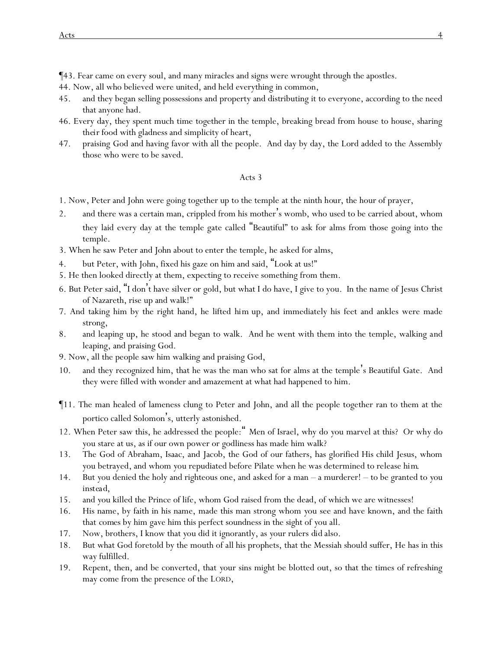¶43. Fear came on every soul, and many miracles and signs were wrought through the apostles.

- 44. Now, all who believed were united, and held everything in common,
- 45. and they began selling possessions and property and distributing it to everyone, according to the need that anyone had.
- 46. Every day, they spent much time together in the temple, breaking bread from house to house, sharing *their* food with gladness and simplicity of heart,
- 47. praising God and having favor with all the people. And day by day, the Lord added to the Assembly those who were to be saved.

- 1. Now, Peter and John were going together up to the temple at the ninth *hour*, the hour of prayer,
- 2. and there was a certain man, crippled from his mother's womb, who used to be carried about, whom they laid every day at the temple gate called "Beautiful" to ask for alms from those going into the temple.
- 3. When he saw Peter and John about to enter the temple, he asked for alms,
- 4. but Peter, with John, fixed his gaze on him and said, "Look at us!"
- 5. He then looked directly at them, expecting to receive something from them.
- 6. But Peter said, "I don't have silver or gold, but what I do have, I give to you. In the name of Jesus Christ of Nazareth, rise up and walk!"
- 7. And taking him by the right hand, he lifted *him* up, and immediately his feet and ankles were made strong,
- 8. and leaping up, he stood and began to walk. And he went with them into the temple, walking and leaping, and praising God.
- 9. Now, all the people saw him walking and praising God,
- 10. and they recognized him, that he was the man who sat for alms at the temple's Beautiful Gate. And they were filled with wonder and amazement at what had happened to him.
- ¶11. The man healed of lameness clung to Peter and John, and all the people together ran to them at the portico called Solomon's, utterly astonished.
- 12. When Peter saw this, he addressed the people:" Men of Israel, why do *y*ou marvel at this? Or why do *y*ou stare at us, as if our own power or godliness has made him walk?
- 13. The God of Abraham, Isaac, and Jacob, the God of our fathers, has glorified His child Jesus, whom *y*ou betrayed*,* and whom *y*ou repudiated before Pilate when he was determined to release *him*.
- 14. But *y*ou denied the holy and righteous one, and asked for a man a murderer! to be granted to *y*ou *instead*,
- 15. and *y*ou killed the Prince of life, whom God raised from the dead, of which we are witnesses!
- 16. His name, by faith in his name, made this man strong whom *y*ou see and have known, and the faith that *comes* by him gave him this perfect soundness in the sight of *y*ou all.
- 17. Now, brothers, I know that *y*ou did it ignorantly, as *y*our rulers *did* also.
- 18. But what God foretold by the mouth of all his prophets, that the Messiah should suffer, He has in this way fulfilled.
- 19. Repent, then, and be converted, that *y*our sins might be blotted out, so that the times of refreshing may come from the presence of the LORD,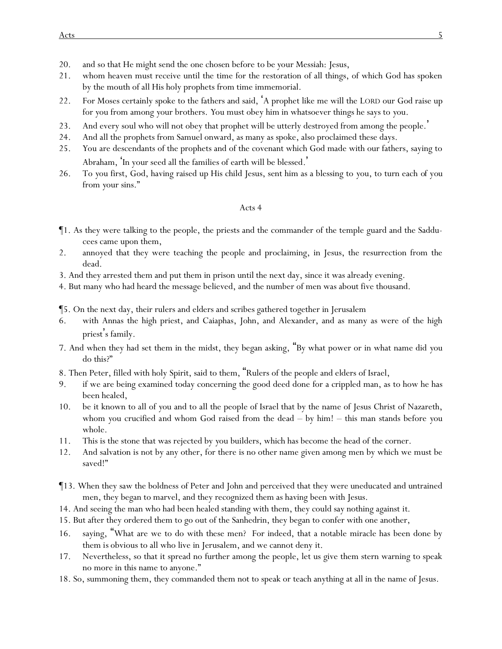- 20. and so that He might send the one chosen before *to be y*our Messiah: Jesus,
- 21. whom heaven must receive until the time for the restoration of all things, of which God has spoken by the mouth of all His holy prophets from time immemorial.
- 22. For Moses certainly spoke to the fathers and said, 'A prophet like me will the LORD our God raise up for *y*ou from among *y*our brothers. *Y*ou must obey him in whatsoever things he says to *y*ou.
- 23. And every soul who will not obey that prophet will be utterly destroyed from among the people. '
- 24. And all the prophets from Samuel onward, as many as spoke, also proclaimed these days.
- 25. *Y*ou are descendants of the prophets and of the covenant which God made with our fathers, saying to Abraham, 'In your seed all the families of earth will be blessed.'
- 26. To *y*ou first, God, having raised up His child Jesus, sent him as a blessing to *y*ou, to turn each *of you* from *y*our sins."

- ¶1. As they were talking to the people, the priests and the commander of the temple guard and the Sadducees came upon them,
- 2. annoyed that they were teaching the people and proclaiming, in Jesus, the resurrection from the dead.
- 3. And they arrested them and put them in prison until the next day, since it was already evening.
- 4. But many who had heard the message believed, and the number of men was about five thousand.
- ¶5. On the next day, their rulers and elders and scribes gathered together in Jerusalem
- 6. with Annas the high priest, and Caiaphas, John, and Alexander, and as many as were of the high priest's family.
- 7. And when they had set them in the midst, they began asking, "By what power or in what name did *y*ou do this?"
- 8. Then Peter, filled with holy Spirit, said to them, "Rulers of the people and elders of Israel,
- 9. if we are being examined today concerning the good deed done for a crippled man, as to how he has been healed,
- 10. be it known to all of *y*ou and to all the people of Israel that by the name of Jesus Christ of Nazareth, whom *y*ou crucified *and* whom God raised from the dead – by him! – this man stands before *y*ou whole.
- 11. This is the stone that was rejected by *y*ou builders, which has become the head of the corner.
- 12. And salvation is not by any other, for there is no other name given among men by which we must be saved!"
- ¶13. When they saw the boldness of Peter and John and perceived that they were uneducated and untrained men, they began to marvel, and they recognized them as having been with Jesus.
- 14. And seeing the man who had been healed standing with them, they could say nothing against *it*.
- 15. But after they ordered them to go out of the Sanhedrin, they began to confer with one another,
- 16. saying, "What are we to do with these men? For indeed, that a notable miracle has been done by them *is* obvious to all who live in Jerusalem, and we cannot deny it.
- 17. Nevertheless, so that it spread no further among the people, let us give them stern warning to speak no more in this name to anyone."
- 18. So, summoning them, they commanded them not to speak or teach anything at all in the name of Jesus.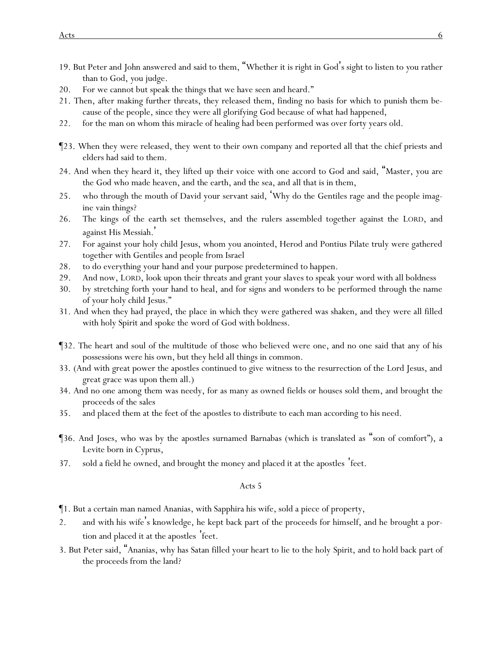- 19. But Peter and John answered and said to them, "Whether it is right in God's sight to listen to *y*ou rather than to God, *y*ou judge.
- 20. For we cannot but speak the things that we have seen and heard."
- 21. Then, after making further threats, they released them, finding no basis for which to punish them because of the people, since they were all glorifying God because of what had happened,
- 22. for the man on whom this miracle of healing had been performed was over forty years old.
- ¶23. When they were released, they went to their own company and reported all that the chief priests and elders had said to them.
- 24. And when they heard it, they lifted up *their* voice with one accord to God and said, "Master, you are the God who made heaven, and the earth, and the sea, and all that is in them,
- 25. who through the mouth of David your servant said, 'Why do the Gentiles rage and *the* people imagine vain things?
- 26. The kings of the earth set themselves, and the rulers assembled together against the LORD, and against His Messiah. '
- 27. For against your holy child Jesus, whom you anointed, Herod and Pontius Pilate truly were gathered together with Gentiles and people from Israel
- 28. to do everything your hand and your purpose predetermined to happen.
- 29. And now, LORD, look upon their threats and grant your slaves to speak your word with all boldness
- 30. by stretching forth your hand to heal, and for signs and wonders to be performed through the name of your holy child Jesus."
- 31. And when they had prayed, the place in which they were gathered was shaken, and they were all filled with holy Spirit and spoke the word of God with boldness.
- ¶32. The heart and soul of the multitude of those who believed were one, and no one said that any of his possessions were his own, but they held all things in common.
- 33. (And with great power the apostles continued to give witness to the resurrection of the Lord Jesus, and great grace was upon them all.)
- 34. And no one among them was needy, for as many as owned fields or houses sold them, and brought the proceeds of the sales
- 35. and placed them at the feet of the apostles to distribute to each man according to his need.
- ¶36. And Joses, who was by the apostles surnamed Barnabas (which is translated as "son of comfort"), a Levite born in Cyprus,
- 37. sold a field he owned, and brought the money and placed it at the apostles 'feet.

- ¶1. But a certain man named Ananias, with Sapphira his wife, sold a piece of property,
- 2. and with his wife's knowledge, he kept back part of the proceeds for himself, and he brought a portion and placed it at the apostles 'feet.
- 3. But Peter said, "Ananias, why has Satan filled your heart to lie to the holy Spirit, and to hold back part of the proceeds from the land?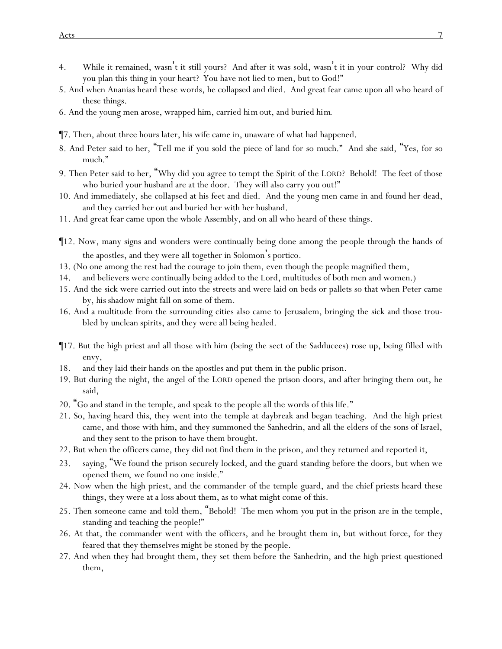- 4. While it remained, wasn't it still yours? And after it was sold, wasn't it in your control? Why did you plan this thing in your heart? You have not lied to men, but to God!"
- 5. And when Ananias heard these words, he collapsed and died. And great fear came upon all who heard of these things.
- 6. And the young men arose, wrapped him, carried *him* out, and buried *him*.
- ¶7. Then, about three hours later, his wife came in, unaware of what had happened.
- 8. And Peter said to her, "Tell me if *y*ou sold the piece of land for so much." And she said, "Yes, for so much."
- 9. Then Peter said to her, "Why did *y*ou agree to tempt the Spirit of the LORD? Behold! The feet of those who buried your husband are at the door. They will also carry you out!"
- 10. And immediately, she collapsed at his feet and died. And the young men came in and found her dead, and they carried *her* out and buried *her* with her husband.
- 11. And great fear came upon the whole Assembly, and on all who heard of these things.
- ¶12. Now, many signs and wonders were continually being done among the people through the hands of the apostles, and they were all together in Solomon's portico.
- 13. (No one among the rest had the courage to join them, even though the people magnified them,
- 14. and believers were continually being added to the Lord, multitudes of both men and women.)
- 15. And the sick were carried out into the streets and were laid on beds or pallets so that when Peter came by, *his* shadow might fall on some of them.
- 16. And a multitude from the surrounding cities also came to Jerusalem, bringing the sick and those troubled by unclean spirits, and they were all being healed.
- ¶17. But the high priest and all those with him (being the sect of the Sadducees) rose up, being filled with envy,
- 18. and they laid their hands on the apostles and put them in the public prison.
- 19. But during the night, the angel of the LORD opened the prison doors, and after bringing them out, he said,
- 20. "Go and stand in the temple, and speak to the people all the words of this life."
- 21. So, having heard *this*, they went into the temple at daybreak and began teaching. And the high priest came, and those with him, and they summoned the Sanhedrin, and all the elders of the sons of Israel, and they sent to the prison to have them brought.
- 22. But when the officers came, they did not find them in the prison, and they returned and reported *it*,
- 23. saying, "We found the prison securely locked, and the guard standing before the doors, but when we opened *them*, we found no one inside."
- 24. Now when the *high* priest, and the commander of the temple guard, and the chief priests heard these things, they were at a loss about them, as to what might come of this.
- 25. Then someone came and told them, "Behold! The men whom *y*ou put in the prison are in the temple, standing and teaching the people!"
- 26. At that, the commander went with the officers, and he brought them *in*, but without force, for they feared that they themselves might be stoned by the people.
- 27. And when they had brought them, they set *them* before the Sanhedrin, and the high priest questioned them,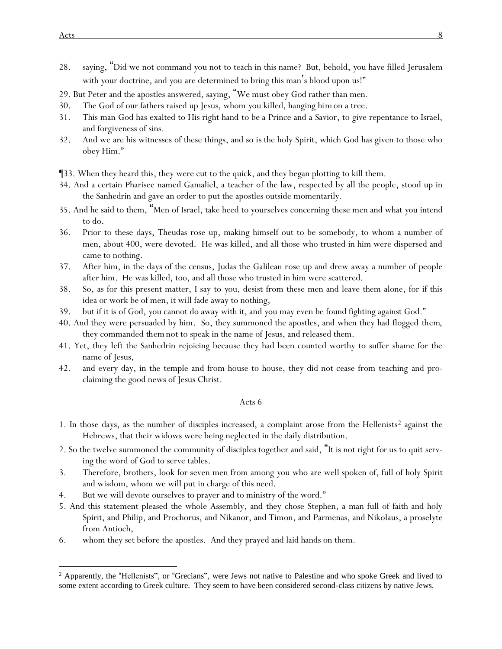- 28. saying, "Did we not command *y*ou not to teach in this name? But, behold, *y*ou have filled Jerusalem with *y*our doctrine, and *y*ou are determined to bring this man's blood upon us!"
- 29. But Peter and the apostles answered, saying, "We must obey God rather than men.
- 30. The God of our fathers raised up Jesus, whom *y*ou killed, hanging *him*on a tree.
- 31. This man God has exalted to His right hand *to be* a Prince and a Savior, to give repentance to Israel, and forgiveness of sins.
- 32. And we are his witnesses of these things, and so *is* the holy Spirit, which God has given to those who obey Him."
- ¶33. When they heard this, they were cut to the quick, and they began plotting to kill them.
- 34. And a certain Pharisee named Gamaliel, a teacher of the law, respected by all the people, stood up in the Sanhedrin and gave an order to put the apostles outside momentarily.
- 35. And he said to them, "Men of Israel, take heed to *y*ourselves concerning these men and what *y*ou intend to do.
- 36. Prior to these days, Theudas rose up, making himself out to be somebody, to whom a number of men, about 400, were devoted. He was killed, and all those who trusted in him were dispersed and came to nothing.
- 37. After him, in the days of the census, Judas the Galilean rose up and drew away a number of people after him. He was killed, too, and all those who trusted in him were scattered.
- 38. So, as for this present matter, I say to *y*ou, desist from these men and leave them alone, for if this idea or work be of men, it will fade away to nothing,
- 39. but if it is of God, *y*ou cannot do away with it, and *y*ou may even be found fighting against God."
- 40. And they were persuaded by him. So, they summoned the apostles, and when they had flogged *them*, they commanded *them* not to speak in the name of Jesus, and released them.
- 41. Yet, they left the Sanhedrin rejoicing because they had been counted worthy to suffer shame for the name of Jesus,
- 42. and every day, in the temple and from house to house, they did not cease from teaching and proclaiming the good news of Jesus Christ.

- 1. In those days, as the number of disciples increased, a complaint arose from the Hellenists<sup>2</sup> against the Hebrews, that their widows were being neglected in the daily distribution.
- 2. So the twelve summoned the community of disciples together and said, "It is not right *for* us to quit *serving* the word of God to serve tables.
- 3. Therefore, brothers, look for seven men from among *y*ou who are well spoken of, full of holy Spirit and wisdom, whom we will put in charge of this need.
- 4. But we will devote ourselves to prayer and to ministry of the word."
- 5. And this statement pleased the whole Assembly, and they chose Stephen, a man full of faith and holy Spirit, and Philip, and Prochorus, and Nikanor, and Timon, and Parmenas, and Nikolaus, a proselyte from Antioch,
- 6. whom they set before the apostles. And they prayed and laid hands on them.

<sup>&</sup>lt;sup>2</sup> Apparently, the "Hellenists", or "Grecians", were Jews not native to Palestine and who spoke Greek and lived to some extent according to Greek culture. They seem to have been considered second-class citizens by native Jews.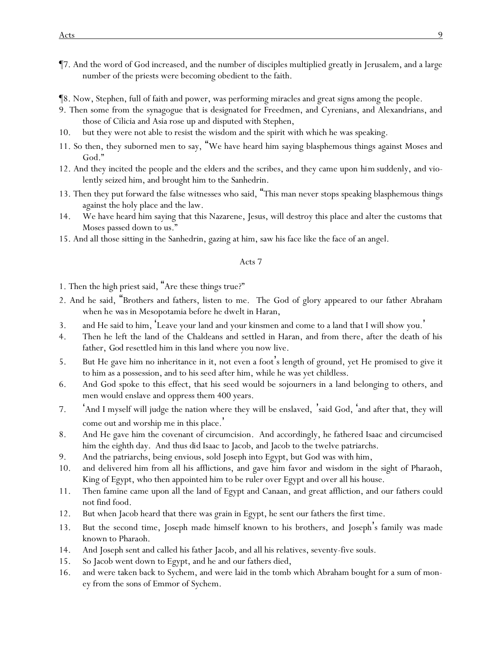- ¶7. And the word of God increased, and the number of disciples multiplied greatly in Jerusalem, and a large number of the priests were becoming obedient to the faith.
- ¶8. Now, Stephen, full of faith and power, was performing miracles and great signs among the people.
- 9. Then some from the synagogue that is designated for Freedmen, and Cyrenians, and Alexandrians, and those of Cilicia and Asia rose up and disputed with Stephen,
- 10. but they were not able to resist the wisdom and the spirit with which he was speaking.
- 11. So then, they suborned men to say, "We have heard him saying blasphemous things against Moses and God."
- 12. And they incited the people and the elders and the scribes, and they came upon *him* suddenly, and violently seized him, and brought him to the Sanhedrin.
- 13. Then they put forward the false witnesses who said, "This man never stops speaking blasphemous things against the holy place and the law.
- 14. We have heard him saying that this Nazarene, Jesus, will destroy this place and alter the customs that Moses passed down to us."
- 15. And all those sitting in the Sanhedrin, gazing at him, saw his face like the face of an angel.

- 1. Then the high priest said, "Are these things true?"
- 2. And he said, "Brothers and fathers, listen to me. The God of glory appeared to our father Abraham when *he was* in Mesopotamia before he dwelt in Haran,
- 3. and He said to him, 'Leave your land and your kinsmen and come to a land that I will show you. '
- 4. Then he left the land of the Chaldeans and settled in Haran, and from there, after the death of his father, *God* resettled him in this land where *y*ou now live.
- 5. But He gave him no inheritance in it, not even a foot's length of ground, yet He promised to give it to him as a possession, and to his seed after him, while he was yet childless.
- 6. And God spoke to this effect, that his seed would be sojourners in a land belonging to others, and men would enslave and oppress them 400 years.
- 7. 'And I myself will judge the nation where they will be enslaved, 'said God, 'and after that, they will come out and worship me in this place.'
- 8. And He gave him the covenant of circumcision. And accordingly, he fathered Isaac and circumcised him the eighth day. And *thus did* Isaac to Jacob, and Jacob to the twelve patriarchs.
- 9. And the patriarchs, being envious, sold Joseph into Egypt, but God was with him,
- 10. and delivered him from all his afflictions, and gave him favor and wisdom in the sight of Pharaoh, King of Egypt, who then appointed him to be ruler over Egypt and over all his house.
- 11. Then famine came upon all the land of Egypt and Canaan, and great affliction, and our fathers could not find food.
- 12. But when Jacob heard that there was grain in Egypt, he sent our fathers the first time.
- 13. But the second time, Joseph made himself known to his brothers, and Joseph's family was made known to Pharaoh.
- 14. And Joseph sent and called his father Jacob, and all his relatives, seventy-five souls.
- 15. So Jacob went down to Egypt, and he and our fathers died,
- 16. and were taken back to Sychem, and were laid in the tomb which Abraham bought for a sum of money from the sons of Emmor of Sychem.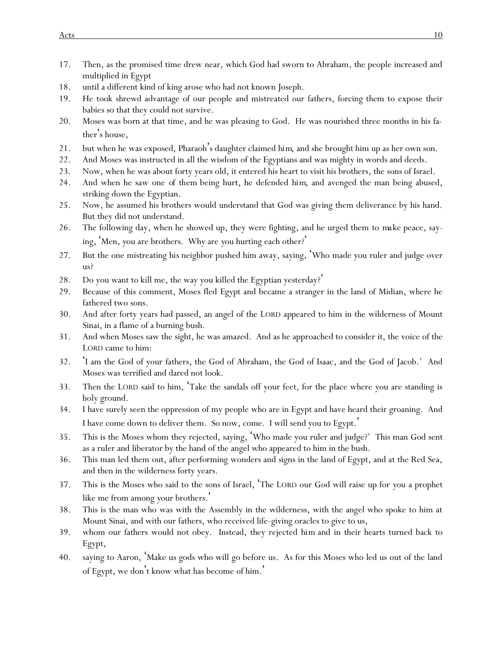- 17. Then, as the promised time drew near, which God had sworn to Abraham, the people increased and multiplied in Egypt
- 18. until a different kind of king arose who had not known Joseph.
- 19. He took shrewd advantage of our people and mistreated our fathers, forcing them to expose their babies so that they could not survive.
- 20. Moses was born at that time, and he was pleasing to God. He was nourished three months in his father's house,
- 21. but when he was exposed, Pharaoh's daughter claimed *him*, and she brought him up as her own son.
- 22. And Moses was instructed in all the wisdom of the Egyptians and was mighty in words and deeds.
- 23. Now, when he was about forty years old, it entered his heart to visit his brothers, the sons of Israel.
- 24. And when he saw one *of them* being hurt, he defended *him*, and avenged the man being abused, striking down the Egyptian.
- 25. Now, he assumed his brothers would understand that God was giving them deliverance by his hand. But they did not understand.
- 26. The following day, when he showed up, they were fighting, and he urged them *to make* peace, saying, 'Men, *y*ou are brothers. Why are *y*ou hurting each other?'
- 27. But the one mistreating *his* neighbor pushed him away, saying, 'Who made you ruler and judge over us?
- 28. Do you want to kill me, the way you killed the Egyptian yesterday?'
- 29. Because of this comment, Moses fled *Egypt* and became a stranger in the land of Midian, where he fathered two sons.
- 30. And after forty years had passed, an angel of the LORD appeared to him in the wilderness of Mount Sinai, in a flame of a burning bush.
- 31. And when Moses saw the sight, he was amazed. And as he approached to consider *it*, the voice of the LORD came to him:
- 32. 'I am the God of your fathers, the God of Abraham, the God of Isaac, and the God of Jacob.' And Moses was terrified and dared not look.
- 33. Then the LORD said to him, 'Take the sandals off your feet, for the place where you are standing is holy ground.
- 34. I have surely seen the oppression of my people who are in Egypt and have heard their groaning. And I have come down to deliver them. So now, come. I will send you to Egypt. '
- 35. This is the Moses whom they rejected, saying, 'Who made you ruler and judge?' This man God sent as a ruler and liberator by the hand of the angel who appeared to him in the bush.
- 36. This man led them out, after performing wonders and signs in the land of Egypt, and at the Red Sea, and then in the wilderness forty years.
- 37. This is the Moses who said to the sons of Israel, 'The LORD our God will raise up for *y*ou a prophet like me from among *y*our brothers.'
- 38. This is the man who was with the Assembly in the wilderness, with the angel who spoke to him at Mount Sinai, and with our fathers, who received life-giving oracles to give to us,
- 39. whom our fathers would not obey. Instead, they rejected *him* and in their hearts turned back to Egypt,
- 40. saying to Aaron, 'Make us gods who will go before us. As for this Moses who led us out of the land of Egypt, we don't know what has become of him. '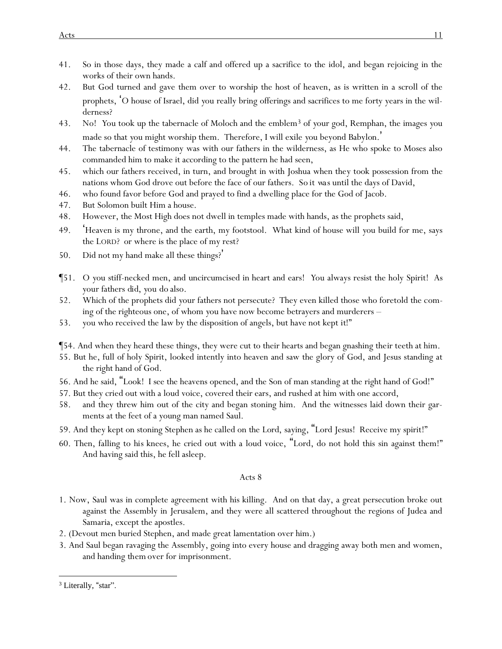- 41. So in those days, they made a calf and offered up a sacrifice to the idol, and began rejoicing in the works of their own hands.
- 42. But God turned and gave them over to worship the host of heaven, as is written in a scroll of the prophets, 'O house of Israel, did *y*ou really bring offerings and sacrifices to me forty years in the wilderness?
- 43. No! *Y*ou took up the tabernacle of Moloch and the emblem<sup>3</sup> of *y*our god, Remphan, the images *y*ou made so that *y*ou might worship them. Therefore, I will exile *y*ou beyond Babylon.'
- 44. The tabernacle of testimony was with our fathers in the wilderness, as He who spoke to Moses also commanded him to make it according to the pattern he had seen,
- 45. which our fathers received, in turn, and brought in with Joshua when they took possession from the nations whom God drove out before the face of our fathers. *So it was* until the days of David,
- 46. who found favor before God and prayed to find a dwelling place for the God of Jacob.
- 47. But Solomon built Him a house.
- 48. However, the Most High does not dwell in temples made with hands, as the prophets said,
- 49. 'Heaven is my throne, and the earth, my footstool. What kind of house will *y*ou build for me, says the LORD? or where is the place of my rest?
- 50. Did not my hand make all these things?'
- ¶51. O *y*ou stiff-necked men, and uncircumcised in heart and ears! *Y*ou always resist the holy Spirit! As *y*our fathers *did*, *y*ou *do* also.
- 52. Which of the prophets did *y*our fathers not persecute? They even killed those who foretold the coming of the righteous one, of whom *y*ou have now become betrayers and murderers –
- 53. *y*ou who received the law by the disposition of angels, but have not kept *it*!"
- ¶54. And when they heard these things, they were cut to their hearts and began gnashing their teeth at him.
- 55. But he, full of holy Spirit, looked intently into heaven and saw the glory of God, and Jesus standing at the right hand of God.
- 56. And he said, "Look! I see the heavens opened, and the Son of man standing at the right hand of God!"
- 57. But they cried out with a loud voice, covered their ears, and rushed at him with one accord,
- 58. and they threw him out of the city and began stoning him. And the witnesses laid down their garments at the feet of a young man named Saul.
- 59. And they kept on stoning Stephen as he called on *the Lord*, saying, "Lord Jesus! Receive my spirit!"
- 60. Then, falling to *his* knees, he cried out with a loud voice, "Lord, do not hold this sin against them!" And having said this, he fell asleep.

- 1. Now, Saul was in complete agreement with his killing. And on that day, a great persecution broke out against the Assembly in Jerusalem, and they were all scattered throughout the regions of Judea and Samaria, except the apostles.
- 2. (Devout men buried Stephen, and made great lamentation over him.)
- 3. And Saul began ravaging the Assembly, going into every house and dragging away both men and women, and handing *them* over for imprisonment.

<sup>&</sup>lt;sup>3</sup> Literally, "star".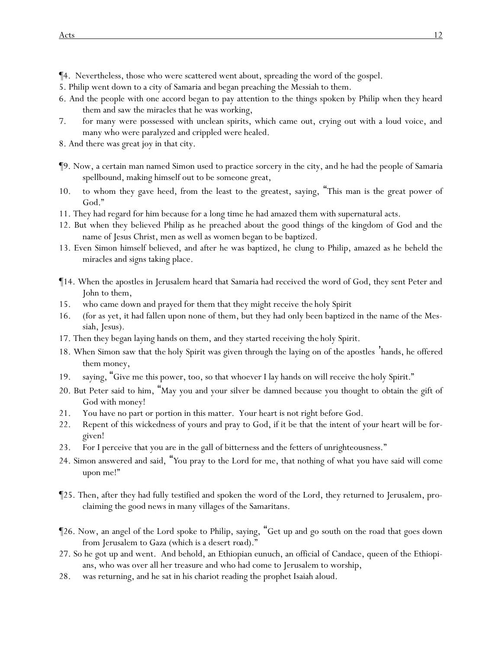¶4. Nevertheless, those who were scattered went about, spreading the word of the gospel.

- 5. Philip went down to a city of Samaria and began preaching the Messiah to them.
- 6. And the people with one accord began to pay attention to the things spoken by Philip when they heard them and saw the miracles that he was working,
- 7. for many were possessed with unclean spirits, which came out, crying out with a loud voice, and many who were paralyzed and crippled were healed.
- 8. And there was great joy in that city.
- ¶9. Now, a certain man named Simon used to practice sorcery in the city, and he had the people of Samaria spellbound, making himself out to be someone great,
- 10. to whom they gave heed, from the least to the greatest, saying, "This man is the great power of God."
- 11. They had regard for him because for a long time he had amazed them with supernatural acts.
- 12. But when they believed Philip as he preached about the good things of the kingdom of God and the name of Jesus Christ, men as well as women began to be baptized.
- 13. Even Simon himself believed, and after he was baptized, he clung to Philip, amazed as he beheld the miracles and signs taking place.
- ¶14. When the apostles in Jerusalem heard that Samaria had received the word of God, they sent Peter and John to them,
- 15. who came down and prayed for them that they might receive *the* holy Spirit
- 16. (for as yet, it had fallen upon none of them, but they had only been baptized in the name of the Messiah, Jesus).
- 17. Then they began laying hands on them, and they started receiving *the* holy Spirit.
- 18. When Simon saw that *the* holy Spirit was given through the laying on of the apostles 'hands, he offered them money,
- 19. saying, "Give me this power, too, so that whoever I lay hands on will receive *the* holy Spirit."
- 20. But Peter said to him, "May you and your silver be damned because you thought to obtain the gift of God with money!
- 21. You have no part or portion in this matter. Your heart is not right before God.
- 22. Repent of this wickedness of yours and pray to God, if it be that the intent of your heart will be forgiven!
- 23. For I perceive that you are in the gall of bitterness and the fetters of unrighteousness."
- 24. Simon answered and said, "*Y*ou pray to the Lord for me, that nothing of what *y*ou have said will come upon me!"
- ¶25. Then, after they had fully testified and spoken the word of the Lord, they returned to Jerusalem, proclaiming the good news in many villages of the Samaritans.
- ¶26. Now, an angel of the Lord spoke to Philip, saying, "Get up and go south on the road that goes down from Jerusalem to Gaza (which is a desert *road*)."
- 27. So he got up and went. And behold, an Ethiopian eunuch, an official of Candace, queen of the Ethiopians, who was over all her treasure and who had come to Jerusalem to worship,
- 28. was returning, and he sat in his chariot reading the prophet Isaiah aloud.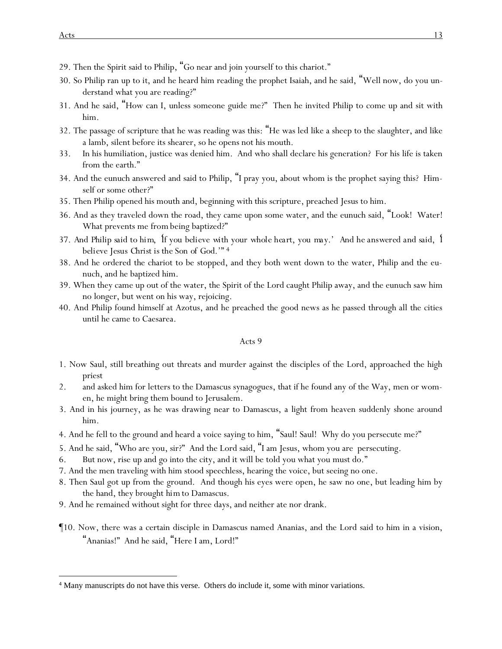- 29. Then the Spirit said to Philip, "Go near and join yourself to this chariot."
- 30. So Philip ran up to *it*, and he heard him reading the prophet Isaiah, and he said, "Well now, do you understand what you are reading?"
- 31. And he said, "How can I, unless someone guide me?" Then he invited Philip to come up and sit with him.
- 32. The passage of scripture that he was reading was this: "He was led like a sheep to the slaughter, and like a lamb, silent before its shearer, so he opens not his mouth.
- 33. In his humiliation, justice was denied him. And who shall declare his generation? For his life is taken from the earth."
- 34. And the eunuch answered and said to Philip, "I pray you, about whom is the prophet saying this? Himself or some other?"
- 35. Then Philip opened his mouth and, beginning with this scripture, preached Jesus to him.
- 36. And as they traveled down the road, they came upon some water, and the eunuch said, "Look! Water! What prevents me *from* being baptized?"
- 37. *And Philip said to him,* '*If you believe with your whole heart, you may.' And he answered and said,* '*I believe Jesus Christ is the Son of God.'"* 4
- 38. And he ordered the chariot to be stopped, and they both went down to the water, Philip and the eunuch, and he baptized him.
- 39. When they came up out of the water, the Spirit of the Lord caught Philip away, and the eunuch saw him no longer, but went on his way, rejoicing.
- 40. And Philip found himself at Azotus, and he preached the good news as he passed through all the cities until he came to Caesarea.

- 1. Now Saul, still breathing out threats and murder against the disciples of the Lord, approached the high priest
- 2. and asked him for letters to the Damascus synagogues, that if he found any of the Way, men or women, he might bring them bound to Jerusalem.
- 3. And in his journey, as he was drawing near to Damascus, a light from heaven suddenly shone around him.
- 4. And he fell to the ground and heard a voice saying to him, "Saul! Saul! Why do you persecute me?"
- 5. And he said, "Who are you, sir?" And the Lord said, "I am Jesus, whom you are persecuting.
- 6. But now, rise up and go into the city, and it will be told you what you must do."
- 7. And the men traveling with him stood speechless, hearing the voice, but seeing no one.
- 8. Then Saul got up from the ground. And though his eyes were open, he saw no one, but leading him by the hand, they brought *him* to Damascus.
- 9. And he remained without sight for three days, and neither ate nor drank.
- ¶10. Now, there was a certain disciple in Damascus named Ananias, and the Lord said to him in a vision, "Ananias!" And he said, "Here I am, Lord!"

<sup>4</sup> Many manuscripts do not have this verse. Others do include it, some with minor variations.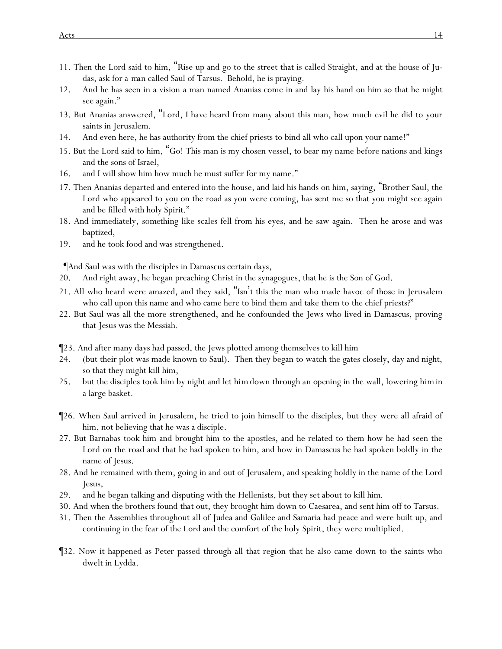- 11. Then the Lord said to him, "Rise up and go to the street that is called Straight, and at the house of Judas, ask for *a man* called Saul of Tarsus. Behold, he is praying.
- 12. And he has seen in a vision a man named Ananias come in and lay *his* hand on him so that he might see again."
- 13. But Ananias answered, "Lord, I have heard from many about this man, how much evil he did to your saints in Jerusalem.
- 14. And even here, he has authority from the chief priests to bind all who call upon your name!"
- 15. But the Lord said to him, "Go! This man is my chosen vessel, to bear my name before nations and kings and the sons of Israel,
- 16. and I will show him how much he must suffer for my name."
- 17. Then Ananias departed and entered into the house, and laid his hands on him, saying, "Brother Saul, the Lord who appeared to you on the road as you were coming, has sent me so that you might see again and be filled with holy Spirit."
- 18. And immediately, *something* like scales fell from his eyes, and he saw again. Then he arose and was baptized,
- 19. and he took food and was strengthened.

¶And Saul was with the disciples in Damascus certain days,

- 20. And right away, he began preaching Christ in the synagogues, that he is the Son of God.
- 21. All who heard were amazed, and they said, "Isn't this the man who made havoc of those in Jerusalem who call upon this name and who came here to bind them and take them to the chief priests?"
- 22. But Saul was all the more strengthened, and he confounded the Jews who lived in Damascus, proving that *Jesus* was the Messiah.
- ¶23. And after many days had passed, the Jews plotted among themselves to kill him
- 24. (but their plot was made known to Saul). Then they began to watch the gates closely, day and night, so that they might kill him,
- 25. but the disciples took him by night and let *him*down through *an opening* in the wall, lowering *him*in a large basket.
- ¶26. When Saul arrived in Jerusalem, he tried to join himself to the disciples, but they were all afraid of him, not believing that he was a disciple.
- 27. But Barnabas took him and brought him to the apostles, and he related to them how he had seen the Lord on the road and that he had spoken to him, and how in Damascus he had spoken boldly in the name of Jesus.
- 28. And he remained with them, going in and out of Jerusalem, and speaking boldly in the name of the Lord Jesus,
- 29. and he began talking and disputing with the Hellenists, but they set about to kill *him*.
- 30. And when the brothers found *that* out, they brought him down to Caesarea, and sent him off to Tarsus.
- 31. Then the Assemblies throughout all of Judea and Galilee and Samaria had peace and were built up, and continuing in the fear of the Lord and the comfort of the holy Spirit, they were multiplied.
- ¶32. Now it happened as Peter passed through all that region that he also came down to *the* saints who dwelt in Lydda.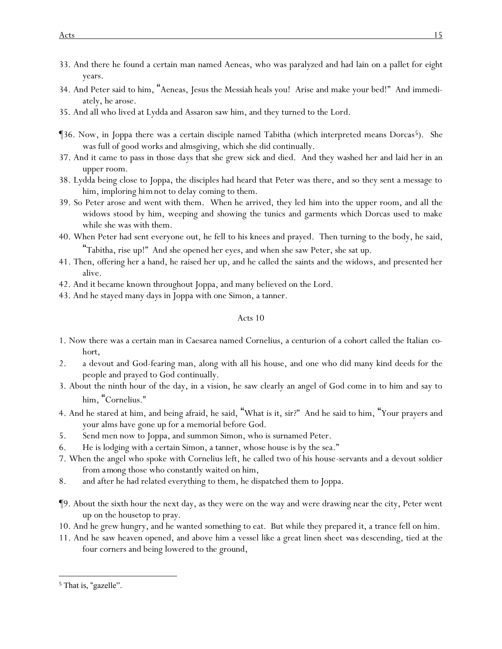- 33. And there he found a certain man named Aeneas, who was paralyzed and had lain on a pallet for eight years.
- 34. And Peter said to him, "Aeneas, Jesus the Messiah heals you! Arise and make your bed!" And immediately, he arose.
- 35. And all who lived at Lydda and Assaron saw him, and they turned to the Lord.
- **[36. Now, in Joppa there was a certain disciple named Tabitha (which interpreted means Dorcas<sup>5</sup>). She** was full of good works and almsgiving, which she did continually.
- 37. And it came to pass in those days that she grew sick and died. And they washed her and laid her in an upper room.
- 38. Lydda being close to Joppa, the disciples had heard that Peter was there, and so they sent a message to him, imploring *him*not to delay coming to them.
- 39. So Peter arose and went with them. When he arrived, they led him into the upper room, and all the widows stood by him, weeping and showing the tunics and garments which Dorcas used to make while she was with them.
- 40. When Peter had sent everyone out, he fell to his knees and prayed. Then turning to the body, he said, "Tabitha, rise up!" And she opened her eyes, and when she saw Peter, she sat up.
- 41. Then, offering her a hand, he raised her up, and he called the saints and the widows, and presented her alive.
- 42. And it became known throughout Joppa, and many believed on the Lord.
- 43. And he stayed many days in Joppa with one Simon, a tanner.

- 1. Now there was a certain man in Caesarea named Cornelius, a centurion of a cohort called the Italian *cohort*,
- 2. a devout and God-fearing man, along with all his house, and one who did many kind deeds for the people and prayed to God continually.
- 3. About the ninth hour of the day, in a vision, he saw clearly an angel of God come in to him and say to him, "Cornelius."
- 4. And he stared at him, and being afraid, he said, "What is it, sir?" And he said to him, "Your prayers and your alms have gone up for a memorial before God.
- 5. Send men now to Joppa, and summon Simon, who is surnamed Peter.
- 6. He is lodging with a certain Simon, a tanner, whose house is by the sea."
- 7. When the angel who spoke with Cornelius left, he called two of his house-servants and a devout soldier from *among* those who constantly waited on him,
- 8. and after he had related everything to them, he dispatched them to Joppa.
- ¶9. About the sixth hour the next day, as they were on the way and were drawing near the city, Peter went up on the housetop to pray.
- 10. And he grew hungry, and he wanted *something* to eat. But while they prepared *it*, a trance fell on him.
- 11. And he saw heaven opened, and above him a vessel like a great linen sheet *was* descending, tied at the four corners and being lowered to the ground,

<sup>&</sup>lt;sup>5</sup> That is, "gazelle".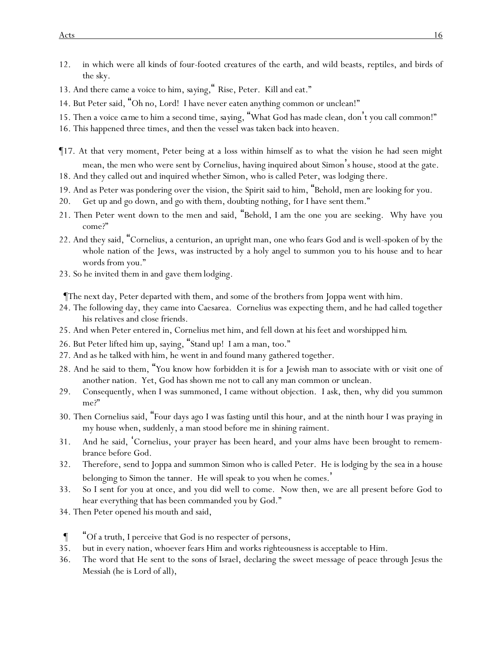- 12. in which were all kinds of four-footed *creatures* of the earth, and wild beasts, reptiles, and birds of the sky.
- 13. And there came a voice to him, *saying,* " Rise, Peter. Kill and eat."
- 14. But Peter said, "Oh no, Lord! I have never eaten anything common or unclean!"
- 15. Then a voice *came* to him a second time, *saying,* "What God has made clean, don't you call common!"
- 16. This happened three times, and then the vessel was taken back into heaven.
- ¶17. At that very moment, Peter being at a loss within himself as to what the vision he had seen might mean, the men who were sent by Cornelius, having inquired about Simon's house, stood at the gate.
- 18. And they called out and inquired whether Simon, who is called Peter, was lodging there.
- 19. And as Peter was pondering over the vision, the Spirit said to him, "Behold, men are looking for you.
- 20. Get up and go down, and go with them, doubting nothing, for I have sent them."
- 21. Then Peter went down to the men and said, "Behold, I am the one *y*ou are seeking. Why have *y*ou come?"
- 22. And they said, "Cornelius, a centurion, an upright man, one who fears God and is well-spoken of by the whole nation of the Jews, was instructed by a holy angel to summon you to his house and to hear words from you."
- 23. So he invited them in and gave *them* lodging.

¶The next day, Peter departed with them, and some of the brothers from Joppa went with him.

- 24. The following day, they came into Caesarea. Cornelius was expecting them, and he had called together his relatives and close friends.
- 25. And when Peter entered in, Cornelius met him, and fell down at *his* feet and worshipped *him*.
- 26. But Peter lifted him up, saying, "Stand up! I am a man, too."
- 27. And as he talked with him, he went in and found many gathered together.
- 28. And he said to them, "*Y*ou know how forbidden it is for a Jewish man to associate with or visit one of another nation. Yet, God has shown me not to call any man common or unclean.
- 29. Consequently, when I was summoned, I came without objection. I ask, then, why did *y*ou summon me?"
- 30. Then Cornelius said, "Four days ago I was fasting until this hour, and at the ninth hour I was praying in my house when, suddenly, a man stood before me in shining raiment.
- 31. And he said, 'Cornelius, your prayer has been heard, and your alms have been brought to remembrance before God.
- 32. Therefore, send to Joppa and summon Simon who is called Peter. He is lodging by the sea in a house belonging to Simon the tanner. He will speak to you when he comes. '
- 33. So I sent for you at once, and you did well to come. Now then, we are all present before God to hear everything that has been commanded you by God."
- 34. Then Peter opened *his* mouth and said,
- ¶ "Of a truth, I perceive that God is no respecter of persons,
- 35. but in every nation, whoever fears Him and works righteousness is acceptable to Him.
- 36. The word that He sent to the sons of Israel, declaring the sweet message of peace through Jesus the Messiah (he is Lord of all),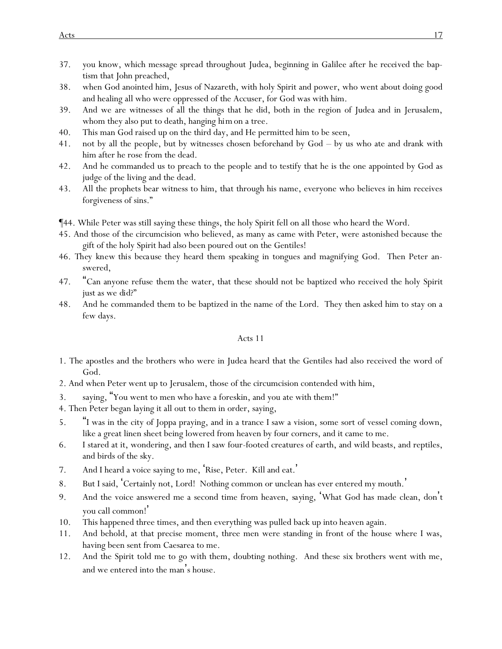- 37. *y*ou know, which message spread throughout Judea, beginning in Galilee after *he received* the baptism that John preached,
- 38. when God anointed him, Jesus of Nazareth, with holy Spirit and power, who went about doing good and healing all who were oppressed of the Accuser, for God was with him.
- 39. And we are witnesses of all the things that he did, both in the region of Judea and in Jerusalem, whom they also put to death, hanging *him*on a tree.
- 40. This man God raised up on the third day, and He permitted him to be seen,
- 41. not by all the people, but by witnesses chosen beforehand by God by us who ate and drank with him after he rose from the dead.
- 42. And he commanded us to preach to the people and to testify that he is the one appointed by God as judge of the living and the dead.
- 43. All the prophets bear witness to him, that through his name, everyone who believes in him receives forgiveness of sins."
- ¶44. While Peter was still saying these things, the holy Spirit fell on all those who heard the Word.
- 45. And those of the circumcision who believed, as many as came with Peter, were astonished because the gift of the holy Spirit had also been poured out on the Gentiles!
- 46. *They knew this because* they heard them speaking in tongues and magnifying God. Then Peter answered,
- 47. "Can anyone refuse *them* the water, that these should not be baptized who received the holy Spirit just as we *did*?"
- 48. And he commanded them to be baptized in the name of the Lord. They then asked him to stay on a few days.

- 1. The apostles and the brothers who were in Judea heard that the Gentiles had also received the word of God.
- 2. And when Peter went up to Jerusalem, those of the circumcision contended with him,
- 3. saying, "You went to men who have a foreskin, and you ate with them!"
- 4. Then Peter began laying it all out to them in order, saying,
- 5. "I was in the city of Joppa praying, and in a trance I saw a vision, some sort of vessel coming down, like a great linen sheet being lowered from heaven by four corners, and it came to me.
- 6. I stared at it, wondering, and then I saw four-footed creatures of earth, and wild beasts, and reptiles, and birds of the sky.
- 7. And I heard a voice saying to me, 'Rise, Peter. Kill and eat. '
- 8. But I said, 'Certainly not, Lord! Nothing common or unclean has ever entered my mouth.'
- 9. And the voice answered me a second time from heaven, *saying*, 'What God has made clean, don't you call common! '
- 10. This happened three times, and then everything was pulled back up into heaven again.
- 11. And behold, at that precise moment, three men were standing in front of the house where I was, having been sent from Caesarea to me.
- 12. And the Spirit told me to go with them, doubting nothing. And these six brothers went with me, and we entered into the man's house.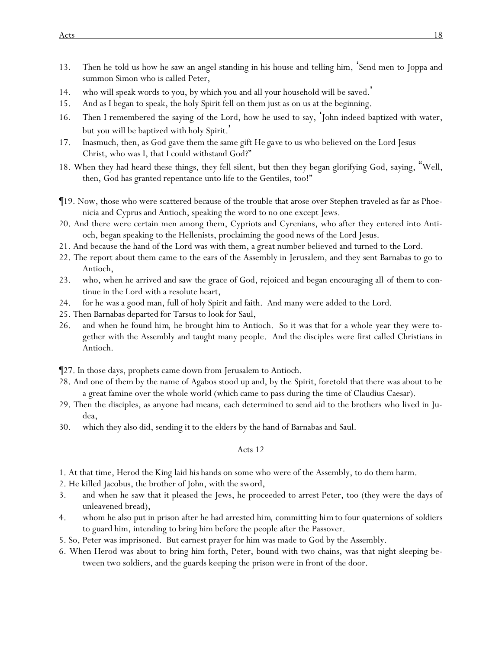- 13. Then he told us how he saw an angel standing in his house and telling him, 'Send men to Joppa and summon Simon who is called Peter,
- 14. who will speak words to you, by which you and all your household will be saved. '
- 15. And as I began to speak, the holy Spirit fell on them just as on us at the beginning.
- 16. Then I remembered the saying of the Lord, how he used to say, 'John indeed baptized with water, but *y*ou will be baptized with holy Spirit. '
- 17. Inasmuch, then, as God gave them the same gift *He gave* to us who believed on the Lord Jesus Christ, who was I, that I could withstand God?"
- 18. When they had heard these things, they fell silent, but then they began glorifying God, saying, "Well, then, God has granted repentance unto life to the Gentiles, too!"
- ¶19. Now, those who were scattered because of the trouble that arose over Stephen traveled as far as Phoenicia and Cyprus and Antioch, speaking the word to no one except Jews.
- 20. And there were certain men among them, Cypriots and Cyrenians, who after they entered into Antioch, began speaking to the Hellenists, proclaiming the good news of the Lord Jesus.
- 21. And because the hand of the Lord was with them, a great number believed and turned to the Lord.
- 22. The report about them came to the ears of the Assembly in Jerusalem, and they sent Barnabas to go to Antioch,
- 23. who, when he arrived and saw the grace of God, rejoiced and began encouraging all *of them* to continue in the Lord with a resolute heart,
- 24. for he was a good man, full of holy Spirit and faith. And many were added to the Lord.
- 25. Then Barnabas departed for Tarsus to look for Saul,
- 26. and when he found *him*, he brought him to Antioch. So it was that for a whole year they were together with the Assembly and taught many people. And the disciples were first called Christians in Antioch.
- ¶27. In those days, prophets came down from Jerusalem to Antioch.
- 28. And one of them by the name of Agabos stood up and, by the Spirit, foretold *that* there was about to be a great famine over the whole world (which came to pass during the time of Claudius Caesar).
- 29. Then the disciples, as anyone had means, each determined to send aid to the brothers who lived in Judea,
- 30. which they also did, sending *it* to the elders by the hand of Barnabas and Saul.

- 1. At that time, Herod the King laid *his* hands on some who were of the Assembly, to do them harm.
- 2. He killed Jacobus, the brother of John, with the sword,
- 3. and when he saw that it pleased the Jews, he proceeded to arrest Peter, too (they were the days of unleavened bread),
- 4. whom he also put in prison after he had arrested *him*, committing *him*to four quaternions of soldiers to guard him, intending to bring him before the people after the Passover.
- 5. So, Peter was imprisoned. But earnest prayer for him was made to God by the Assembly.
- 6. When Herod was about to bring him forth, Peter, bound with two chains, was that night sleeping between two soldiers, and the guards keeping the prison were in front of the door.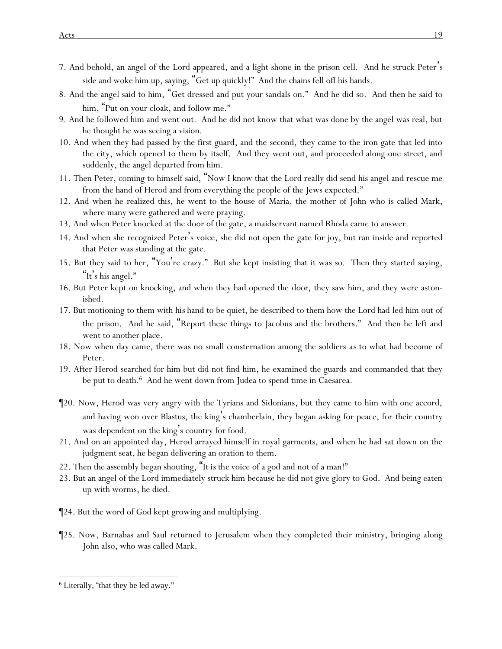- 7. And behold, an angel of the Lord appeared, and a light shone in the prison cell. And he struck Peter's side and woke him up, saying, "Get up quickly!" And the chains fell off his hands.
- 8. And the angel said to him, "Get dressed and put your sandals on." And he did so. And then he said to him, "Put on your cloak, and follow me."
- 9. And he followed him and went out. And he did not know that what was done by the angel was real, but he thought he was seeing a vision.
- 10. And when they had passed by the first guard, and the second, they came to the iron gate that led into the city, which opened to them by itself. And they went out, and proceeded along one street, and suddenly, the angel departed from him.
- 11. Then Peter, coming to himself said, "Now I know that the Lord really did send his angel and rescue me from the hand of Herod and from everything the people of the Jews expected."
- 12. And when he realized *this*, he went to the house of Maria, the mother of John who is called Mark, where many were gathered and were praying.
- 13. And when Peter knocked at the door of the gate, a maidservant named Rhoda came to answer.
- 14. And when she recognized Peter's voice, she did not open the gate for joy, but ran inside and reported that Peter was standing at the gate.
- 15. But they said to her, "You're crazy." But she kept insisting that it was so. Then they started saying, "It's his angel."
- 16. But Peter kept on knocking, and when they had opened the *door*, they saw him, and they were astonished.
- 17. But motioning to them with *his* hand to be quiet, he described to them how the Lord had led him out of the prison. And he said, "Report these things to Jacobus and the brothers." And then he left and went to another place.
- 18. Now when day came, there was no small consternation among the soldiers *as to* what had become of Peter.
- 19. After Herod searched for him but did not find him, he examined the guards and commanded that they be put to death.6 And he went down from Judea to spend time in Caesarea.
- ¶20. Now, Herod was very angry with the Tyrians and Sidonians, but they came to him with one accord, and having won over Blastus, the king's chamberlain, they began asking for peace, for their country was dependent on the king's country for food.
- 21. And on an appointed day, Herod arrayed himself in royal garments, and when he had sat down on the judgment seat, he began delivering an oration to them.
- 22. Then the assembly began shouting, "*It is the* voice of a god and not of a man!"
- 23. But an angel of the Lord immediately struck him because he did not give glory to God. And being eaten up with worms, he died.
- ¶24. But the word of God kept growing and multiplying.
- ¶25. Now, Barnabas and Saul returned to Jerusalem when they completed *their* ministry, bringing along John also, who was called Mark.

<sup>6</sup> Literally, "that they be led away."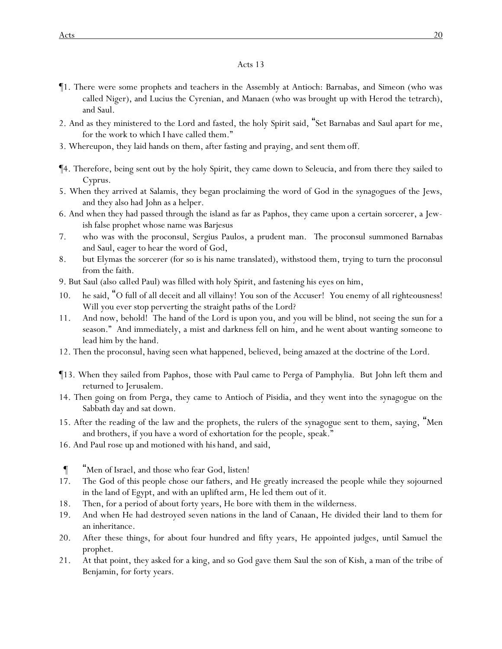- ¶1. There were some prophets and teachers in the Assembly at Antioch: Barnabas, and Simeon (who was called Niger), and Lucius the Cyrenian, and Manaen (who was brought up with Herod the tetrarch), and Saul.
- 2. And as they ministered to the Lord and fasted, the holy Spirit said, "Set Barnabas and Saul apart for me, for the work to which I have called them."
- 3. Whereupon, they laid hands on them, after fasting and praying, and sent *them* off.
- ¶4. Therefore, being sent out by the holy Spirit, they came down to Seleucia, and from there they sailed to Cyprus.
- 5. When they arrived at Salamis, they began proclaiming the word of God in the synagogues of the Jews, and they also had John as a helper.
- 6. And when they had passed through the island as far as Paphos, they came upon a certain sorcerer, a Jewish false prophet whose name was Barjesus
- 7. who was with the proconsul, Sergius Paulos, a prudent man. *The proconsul* summoned Barnabas and Saul, eager to hear the word of God,
- 8. but Elymas the sorcerer (for so is his name translated), withstood them, trying to turn the proconsul from the faith.
- 9. But Saul (also *called* Paul) was filled with holy Spirit, and fastening his eyes on him,
- 10. he said, "O full of all deceit and all villainy! *You* son of the Accuser! *You* enemy of all righteousness! Will you ever stop perverting the straight paths of the Lord?
- 11. And now, behold! The hand of the Lord is upon you, and you will be blind, not seeing the sun for a season." And immediately, a mist and darkness fell on him, and he went about wanting someone to lead him by the hand.
- 12. Then the proconsul, having seen what happened, believed, being amazed at the doctrine of the Lord.
- ¶13. When they sailed from Paphos, those with Paul came to Perga of Pamphylia. But John left them and returned to Jerusalem.
- 14. Then going on from Perga, they came to Antioch of Pisidia, and they went into the synagogue on the Sabbath day and sat down.
- 15. After the reading of the law and the prophets, the rulers of the synagogue sent to them, saying, "Men and brothers, if *y*ou have a word of exhortation for the people, speak."
- 16. And Paul rose up and motioned with *his* hand, and said,
- ¶ "Men of Israel, and those who fear God, listen!
- 17. The God of this people chose our fathers, and He greatly increased the people while they sojourned in the land of Egypt, and with an uplifted arm, He led them out of it.
- 18. Then, for a period of about forty years, He bore with them in the wilderness.
- 19. And when He had destroyed seven nations in the land of Canaan, He divided their land to them for an inheritance.
- 20. After these things, for about four hundred and fifty years, He appointed judges, until Samuel the prophet.
- 21. At that point, they asked for a king, and so God gave them Saul the son of Kish, a man of the tribe of Benjamin, for forty years.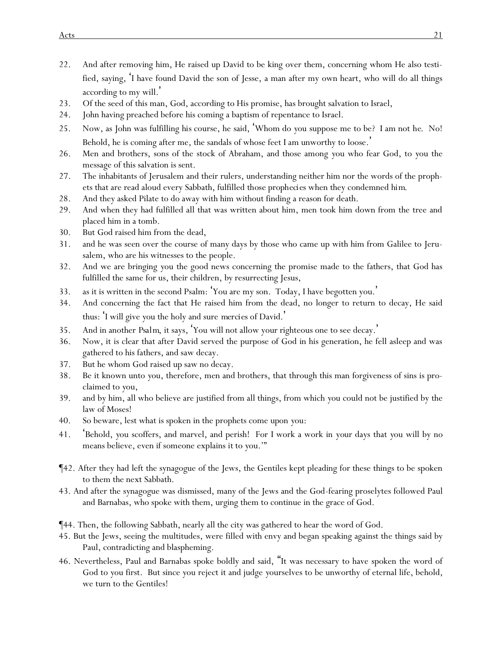- 22. And after removing him, He raised up David to be king over them, concerning whom He also testified, saying, 'I have found David the son of Jesse, a man after my own heart, who will do all things according to my will. '
- 23. Of the seed of this man, God, according to His promise, has brought salvation to Israel,
- 24. John having preached before his coming a baptism of repentance to Israel.
- 25. Now, as John was fulfilling *his* course, he said, 'Whom do *y*ou suppose me to be? I am not *he*. No! Behold, he is coming after me, the sandals of whose feet I am unworthy to loose.'
- 26. Men and brothers, sons of the stock of Abraham, and those among *y*ou who fear God, to *y*ou the message of this salvation is sent.
- 27. The inhabitants of Jerusalem and their rulers, understanding neither him nor the words of the prophets that are read aloud every Sabbath, fulfilled *those prophecies* when they condemned *him*.
- 28. And they asked Pilate to do away with him without finding a reason for death.
- 29. And when they had fulfilled all that was written about him, men took him down from the tree and placed him in a tomb.
- 30. But God raised him from the dead,
- 31. and he was seen over the course of many days by those who came up with him from Galilee to Jerusalem, who are his witnesses to the people.
- 32. And we are bringing *y*ou the good news concerning the promise made to the fathers, that God has fulfilled the same for us, their children, *by* resurrecting Jesus,
- 33. as it is written in the second Psalm: 'You are my son. Today, I have begotten you. '
- 34. And concerning the fact that He raised him from the dead, no longer to return to decay, He said thus: 'I will give *y*ou the holy and sure *mercies* of David.'
- 35. And in another *Psalm*, it says, 'You will not allow your righteous one to see decay. '
- 36. Now, it is clear that after David served the purpose of God in his generation, he fell asleep and was gathered to his fathers, and saw decay.
- 37. But he whom God raised up saw no decay.
- 38. Be it known unto *y*ou, therefore, men and brothers, that through this man forgiveness of sins is proclaimed to *y*ou,
- 39. and by him, all who believe are justified from all things, from which *y*ou could not be justified by the law of Moses!
- 40. So beware, lest what is spoken in the prophets come upon *y*ou:
- 41. 'Behold, *y*ou scoffers, and marvel, and perish! For I work a work in *your* days that *y*ou will by no means believe, even if someone explains *it* to *y*ou.'"
- ¶42. After they had left the synagogue of the Jews, the Gentiles kept pleading for these things to be spoken to them the next Sabbath.
- 43. And after the synagogue was dismissed, many of the Jews and the God-fearing proselytes followed Paul and Barnabas, who spoke with them, urging them to continue in the grace of God.
- ¶44. Then, the following Sabbath, nearly all the city was gathered to hear the word of God.
- 45. But the Jews, seeing the multitudes, were filled with envy and began speaking against the things said by Paul, contradicting and blaspheming.
- 46. Nevertheless, Paul and Barnabas spoke boldly and said, "It was necessary to have spoken the word of God to *y*ou first. But since *y*ou reject it and judge *y*ourselves to be unworthy of eternal life, behold, we turn to the Gentiles!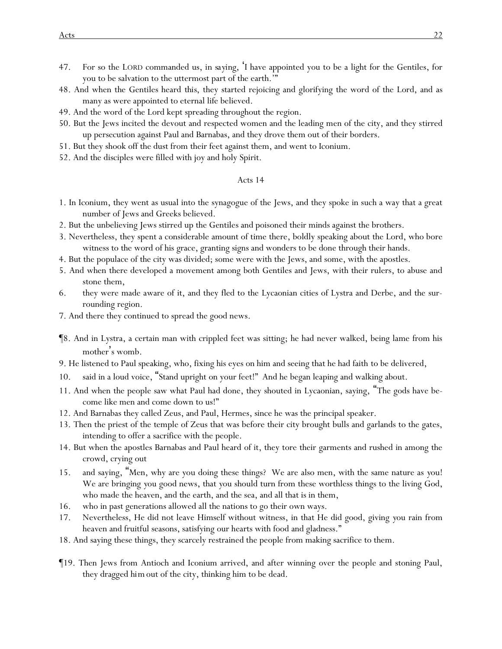- 47. For so the LORD commanded us, *in saying*, 'I have appointed you to be a light for the Gentiles, for you to be salvation to the uttermost part of the earth.'"
- 48. And when the Gentiles heard *this*, they started rejoicing and glorifying the word of the Lord, and as many as were appointed to eternal life believed.
- 49. And the word of the Lord kept spreading throughout the region.
- 50. But the Jews incited the devout and respected women and the leading men of the city, and they stirred up persecution against Paul and Barnabas, and they drove them out of their borders.
- 51. But they shook off the dust from their feet against them, and went to Iconium.
- 52. And the disciples were filled with joy and holy Spirit.

- 1. In Iconium, they went as usual into the synagogue of the Jews, and they spoke in such a way that a great number of Jews and Greeks believed.
- 2. But the unbelieving Jews stirred up the Gentiles and poisoned their minds against the brothers.
- 3. Nevertheless, they spent a considerable amount of time there, boldly speaking about the Lord, who bore witness to the word of his grace, granting signs and wonders to be done through their hands.
- 4. But the populace of the city was divided; some were with the Jews, and some, with the apostles.
- 5. And when there developed a movement among both Gentiles and Jews, with their rulers, to abuse and stone them,
- 6. they were made aware of it, and they fled to the Lycaonian cities of Lystra and Derbe, and the surrounding region.
- 7. And there they continued to spread the good news.
- ¶8. And in Lystra, a certain man with crippled feet was sitting; he had never walked, being lame from his mother's womb.
- 9. He listened to Paul speaking, who, fixing his eyes on him and seeing that he had faith to be delivered,
- 10. said in a loud voice, "Stand upright on your feet!" And he began leaping and walking about.
- 11. And when the people saw what Paul had done, they shouted in Lycaonian, saying, "The gods have become like men and come down to us!"
- 12. And Barnabas they called Zeus, and Paul, Hermes, since he was the principal speaker.
- 13. Then the priest of the temple of Zeus that was before their city brought bulls and garlands to the gates, intending to offer a sacrifice with the people.
- 14. But when the apostles Barnabas and Paul heard of it, they tore their garments and rushed in among the crowd, crying out
- 15. and saying, "Men, why are *y*ou doing these things? We are also men, with the same nature as *y*ou! We are bringing *y*ou good news, that *y*ou should turn from these worthless things to the living God, who made the heaven, and the earth, and the sea, and all that is in them,
- 16. who in past generations allowed all the nations to go their own ways.
- 17. Nevertheless, He did not leave Himself without witness, in that He did good, giving *y*ou rain from heaven and fruitful seasons, satisfying our hearts with food and gladness."
- 18. And saying these things, they scarcely restrained the people from making sacrifice to them.
- ¶19. Then Jews from Antioch and Iconium arrived, and after winning over the people and stoning Paul, they dragged *him*out of the city, thinking him to be dead.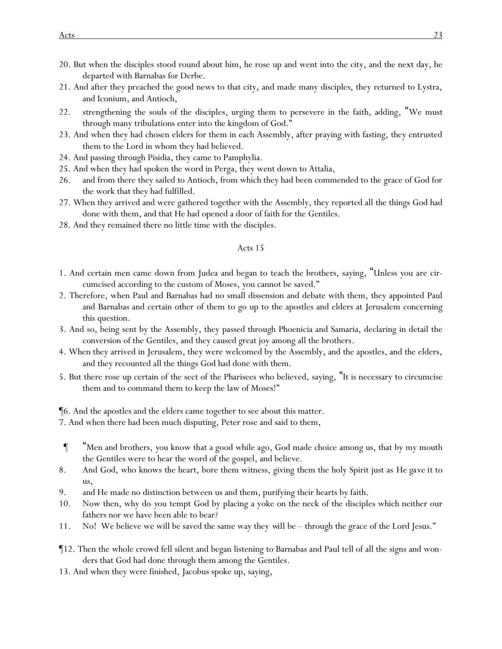- 20. But when the disciples stood round about him, he rose up and went into the city, and the next day, he departed with Barnabas for Derbe.
- 21. And after they preached the good news to that city, and made many disciples, they returned to Lystra, and Iconium, and Antioch,
- 22. strengthening the souls of the disciples, urging them to persevere in the faith, adding, "We must through many tribulations enter into the kingdom of God."
- 23. And when they had chosen elders for them in each Assembly, after praying with fasting, they entrusted them to the Lord in whom they had believed.
- 24. And passing through Pisidia, they came to Pamphylia.
- 25. And when they had spoken the word in Perga, they went down to Attalia,
- 26. and from there they sailed to Antioch, from which they had been commended to the grace of God for the work that they had fulfilled.
- 27. When they arrived and were gathered together with the Assembly, they reported all the things God had done with them, and that He had opened a door of faith for the Gentiles.
- 28. And they remained there no little time with the disciples.

- 1. And certain men came down from Judea and began to teach the brothers, saying, "Unless *y*ou are circumcised according to the custom of Moses, *y*ou cannot be saved."
- 2. Therefore, when Paul and Barnabas had no small dissension and debate with them, they appointed Paul and Barnabas and certain other of them to go up to the apostles and elders at Jerusalem concerning this question.
- 3. And so, being sent by the Assembly, they passed through Phoenicia and Samaria, declaring in detail the conversion of the Gentiles, and they caused great joy among all the brothers.
- 4. When they arrived in Jerusalem, they were welcomed by the Assembly, and the apostles, and the elders, and they recounted all the things God had done with them.
- 5. But there rose up certain of the sect of the Pharisees who believed, saying, "It is necessary to circumcise them and to command them to keep the law of Moses!"

¶6. And the apostles and the elders came together to see about this matter.

7. And when there had been much disputing, Peter rose and said to them,

- ¶ "Men and brothers, *y*ou know that a good while ago, God made choice among us, that by my mouth the Gentiles were to hear the word of the gospel, and believe.
- 8. And God, who knows the heart, bore them witness, giving them the holy Spirit just as *He gave it* to us,
- 9. and He made no distinction between us and them, purifying their hearts by faith.
- 10. Now then, why do *y*ou tempt God by placing a yoke on the neck of the disciples which neither our fathers nor we have been able to bear?
- 11. No! We believe we will be saved the same way they *will be* through the grace of the Lord Jesus."
- ¶12. Then the whole crowd fell silent and began listening to Barnabas and Paul tell of all the signs and wonders that God had done through them among the Gentiles.
- 13. And when they were finished, Jacobus spoke up, saying,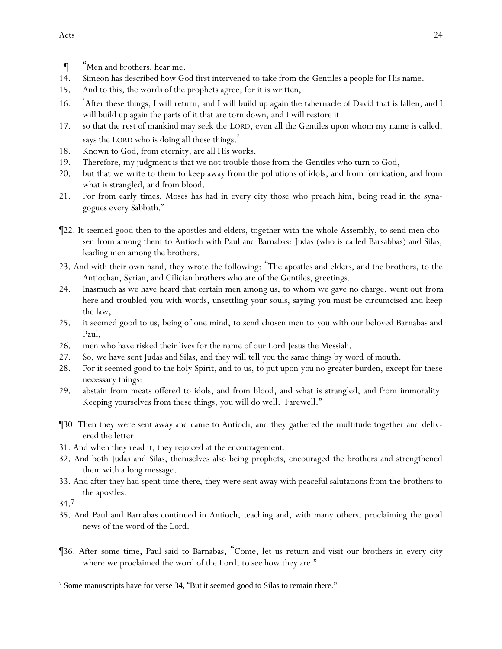- ¶ "Men and brothers, hear me.
- 14. Simeon has described how God first intervened to take from the Gentiles a people for His name.
- 15. And to this, the words of the prophets agree, for it is written,
- 16. 'After these things, I will return, and I will build up again the tabernacle of David that is fallen, and I will build up again the parts of it that are torn down, and I will restore it
- 17. so that the rest of mankind may seek the LORD, even all the Gentiles upon whom my name is called, says the LORD who is doing all these things.'
- 18. Known to God, from eternity, are all His works.
- 19. Therefore, my judgment is that we not trouble those from the Gentiles who turn to God,
- 20. but that we write to them to keep away from the pollutions of idols, and from fornication, and from what is strangled, and from blood.
- 21. For from early times, Moses has had in every city those who preach him, being read in the synagogues every Sabbath."
- ¶22. It seemed good then to the apostles and elders, together with the whole Assembly, to send men chosen from among them to Antioch with Paul and Barnabas: Judas (who is called Barsabbas) and Silas, leading men among the brothers.
- 23. And with their own hand, they wrote the following: "The apostles and elders, and the brothers, to the Antiochan, Syrian, and Cilician brothers who are of the Gentiles, greetings.
- 24. Inasmuch as we have heard that certain men among us, to whom we gave no charge, went out *from here* and troubled *y*ou with words, unsettling *y*our souls, saying *you* must be circumcised and keep the law,
- 25. it seemed good to us, being of one mind, to send chosen men to *y*ou with our beloved Barnabas and Paul,
- 26. men who have risked their lives for the name of our Lord Jesus the Messiah.
- 27. So, we have sent Judas and Silas, and they will tell *you* the same things by word *of mouth.*
- 28. For it seemed good to the holy Spirit, and to us, to put upon *you* no greater burden, except for these necessary things:
- 29. abstain from meats offered to idols, and from blood, and what is strangled, and from immorality. Keeping *y*ourselves from these things, *y*ou will do well. Farewell."
- ¶30. Then they were sent away and came to Antioch, and they gathered the multitude together and delivered the letter.
- 31. And when they read *it*, they rejoiced at the encouragement.
- 32. And both Judas and Silas, themselves also being prophets, encouraged the brothers and strengthened *them* with a long message*.*
- 33. And after they had spent time *there*, they were sent away with peaceful salutations from the brothers to the apostles.

34.<sup>7</sup>

- 35. And Paul and Barnabas continued in Antioch, teaching and, with many others, proclaiming the good news of the word of the Lord.
- ¶36. After some time, Paul said to Barnabas, "Come, let us return and visit our brothers in every city where we proclaimed the word of the Lord, *to see* how they are."

<sup>7</sup> Some manuscripts have for verse 34, "But it seemed good to Silas to remain there."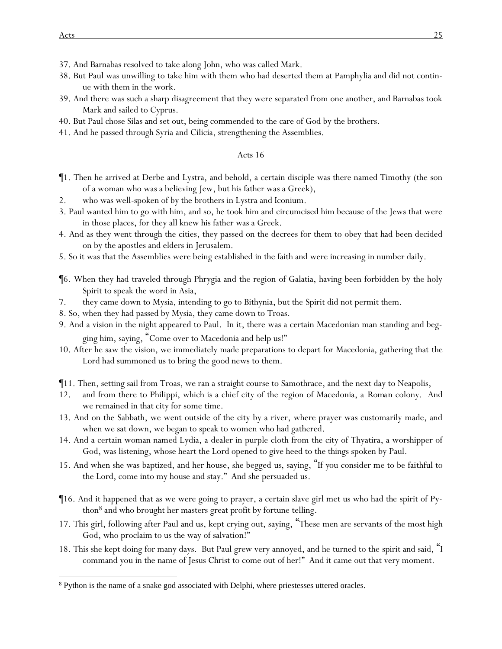- 37. And Barnabas resolved to take along John, who was called Mark.
- 38. But Paul was unwilling to take him with them who had deserted them at Pamphylia and did not continue with them in the work.
- 39. And there was such a sharp disagreement that they were separated from one another, and Barnabas took Mark and sailed to Cyprus.
- 40. But Paul chose Silas and set out, being commended to the care of God by the brothers.
- 41. And he passed through Syria and Cilicia, strengthening the Assemblies.

- ¶1. Then he arrived at Derbe and Lystra, and behold, a certain disciple was there named Timothy (the son of a woman who was a believing Jew, but his father was a Greek),
- 2. who was well-spoken of by the brothers in Lystra and Iconium.
- 3. Paul wanted him to go with him, and so, he took him and circumcised him because of the Jews that were in those places, for they all knew his father was a Greek.
- 4. And as they went through the cities, they passed on the decrees for them to obey that had been decided on by the apostles and elders in Jerusalem.
- 5. So it was that the Assemblies were being established in the faith and were increasing in number daily.
- ¶6. When they had traveled through Phrygia and the region of Galatia, having been forbidden by the holy Spirit to speak the word in Asia,
- 7. they came down to Mysia, intending to go to Bithynia, but the Spirit did not permit them.
- 8. So, when they had passed by Mysia, they came down to Troas.
- 9. And a vision in the night appeared to Paul. In it, there was a certain Macedonian man standing and begging him, saying, "Come over to Macedonia and help us!"
- 10. After he saw the vision, we immediately made preparations to depart for Macedonia, gathering that the Lord had summoned us to bring the good news to them.
- ¶11. Then, setting sail from Troas, we ran a straight course to Samothrace, and the next day to Neapolis,
- 12. and from there to Philippi, which is a chief city of the region of Macedonia, a *Roman* colony. And we remained in that city for some time.
- 13. And on the Sabbath, we went outside of the city by a river, where prayer was customarily made, and when we sat down, we began to speak to women who had gathered.
- 14. And a certain woman named Lydia, a dealer in purple cloth from the city of Thyatira, a worshipper of God, was listening, whose heart the Lord opened to give heed to the things spoken by Paul.
- 15. And when she was baptized, and her house, she begged *us*, saying, "If *y*ou consider me to be faithful to the Lord, come into my house and stay." And she persuaded us.
- ¶16. And it happened that as we were going to prayer, a certain slave girl met us who had the spirit of Python<sup>8</sup> *and* who brought her masters great profit by fortune telling.
- 17. This girl, following after Paul and us, kept crying out, saying, "These men are servants of the most high God, who proclaim to us the way of salvation!"
- 18. This she kept doing for many days. But Paul grew very annoyed, and he turned to the spirit and said, "I command you in the name of Jesus Christ to come out of her!" And it came out that very moment.

<sup>8</sup> Python is the name of a snake god associated with Delphi, where priestesses uttered oracles.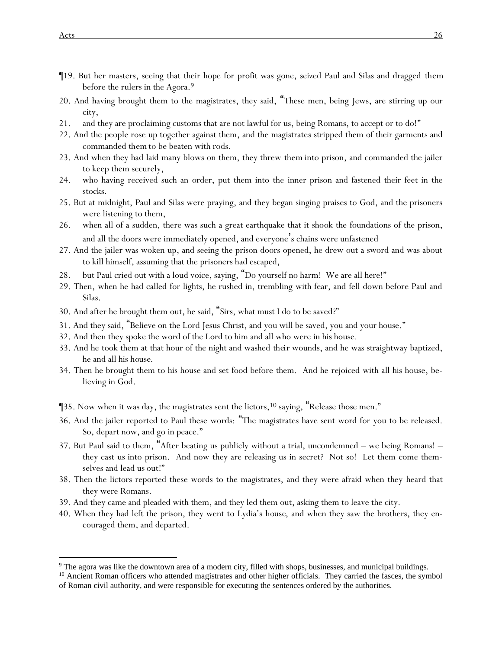- ¶19. But her masters, seeing that their hope for profit was gone, seized Paul and Silas and dragged *them* before the rulers in the Agora.<sup>9</sup>
- 20. And having brought them to the magistrates, they said, "These men, being Jews, are stirring up our city,
- 21. and they are proclaiming customs that are not lawful for us, being Romans, to accept or to do!"
- 22. And the people rose up together against them, and the magistrates stripped them of their garments and commanded *them* to be beaten with rods.
- 23. And when they had laid many blows on them, they threw *them* into prison, and commanded the jailer to keep them securely,
- 24. who having received such an order, put them into the inner prison and fastened their feet in the stocks.
- 25. But at midnight, Paul and Silas were praying, and they began singing praises to God, and the prisoners were listening to them,
- 26. when all of a sudden, there was such a great earthquake that it shook the foundations of the prison, and all the doors were immediately opened, and everyone's chains were unfastened
- 27. And the jailer was woken up, and seeing the prison doors opened, he drew out a sword and was about to kill himself, assuming that the prisoners had escaped,
- 28. but Paul cried out with a loud voice, saying, "Do yourself no harm! We are all here!"
- 29. Then, when he had called for lights, he rushed in, trembling with fear, and fell down before Paul and Silas.
- 30. And after he brought them out, he said, "Sirs, what must I do to be saved?"
- 31. And they said, "Believe on the Lord Jesus Christ, and you will be saved, you and your house."
- 32. And then they spoke the word of the Lord to him and all who were in his house.
- 33. And he took them at that hour of the night and washed *their* wounds, and he was straightway baptized, he and all his *house*.
- 34. Then he brought them to his house and set food before them. And he rejoiced with all his house, believing in God.
- ¶35. Now when it was day, the magistrates sent the lictors,<sup>10</sup> saying, "Release those men."
- 36. And the jailer reported to Paul these words: "The magistrates have sent word for you to be released. So, depart now, and go in peace."
- 37. But Paul said to them, "After beating us publicly without a trial, uncondemned we being Romans! they cast *us* into prison. And now they are releasing us in secret? Not so! Let them come themselves and lead *us* out!"
- 38. Then the lictors reported these words to the magistrates, and they were afraid when they heard that they were Romans.
- 39. And they came and pleaded with them, and they led them out, asking them to leave the city.
- 40. When they had left the prison, they went to Lydia's *house*, and when they saw the brothers, they encouraged them, and departed.

<sup>&</sup>lt;sup>9</sup> The agora was like the downtown area of a modern city, filled with shops, businesses, and municipal buildings.

<sup>&</sup>lt;sup>10</sup> Ancient Roman officers who attended magistrates and other higher officials. They carried the fasces, the symbol of Roman civil authority, and were responsible for executing the sentences ordered by the authorities.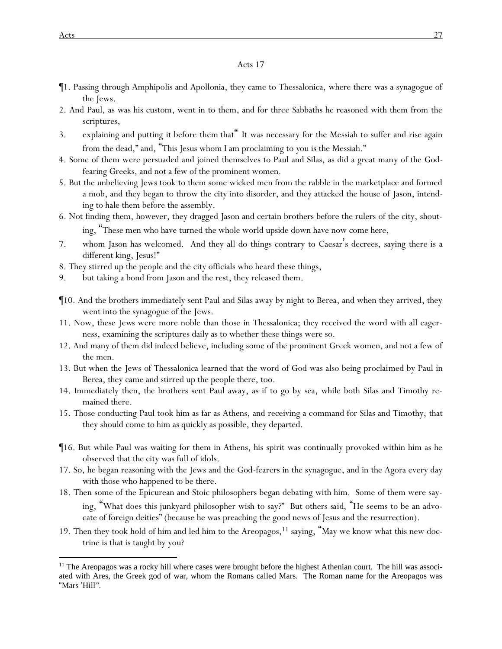- ¶1. Passing through Amphipolis and Apollonia, they came to Thessalonica, where there was a synagogue of the Jews.
- 2. And Paul, as was his custom, went in to them, and for three Sabbaths he reasoned with them from the scriptures,
- 3. explaining and putting *it* before *them* that" It was necessary for the Messiah to suffer and rise again from the dead," and, "This Jesus whom I am proclaiming to *y*ou is the Messiah."
- 4. Some of them were persuaded and joined themselves to Paul and Silas, as did a great many of the Godfearing Greeks, and not a few of the prominent women.
- 5. But the unbelieving Jews took to them some wicked men from the rabble in the marketplace and formed a mob, and they began to throw the city into disorder, and they attacked the house of Jason, intending to hale them before the assembly.
- 6. Not finding them, however, they dragged Jason and certain brothers before the rulers of the city, shouting, "These men who have turned the whole world upside down have now come here,
- 7. whom Jason has welcomed. And they all do things contrary to Caesar's decrees, saying there is a different king, Jesus!"
- 8. They stirred up the people and the city officials who heard these things,
- 9. but taking a bond from Jason and the rest, they released them.
- ¶10. And the brothers immediately sent Paul and Silas away by night to Berea, and when they arrived, they went into the synagogue of the Jews.
- 11. Now, these *Jews* were more noble than those in Thessalonica; they received the word with all eagerness, examining the scriptures daily as to whether these things were so.
- 12. And many of them did indeed believe, including some of the prominent Greek women, and not a few of the men.
- 13. But when the Jews of Thessalonica learned that the word of God was also being proclaimed by Paul in Berea, they came and stirred up the people there, too.
- 14. Immediately then, the brothers sent Paul away, as if to go by sea, while both Silas and Timothy remained there.
- 15. Those conducting Paul took him as far as Athens, and receiving a command for Silas and Timothy, that they should come to him as quickly as possible, they departed.
- ¶16. But while Paul was waiting for them in Athens, his spirit was continually provoked within him as he observed that the city was full of idols.
- 17. So, he began reasoning with the Jews and the God-fearers in the synagogue, and in the Agora every day with those who happened to be there.
- 18. Then some of the Epicurean and Stoic philosophers began debating with him. Some of them were saying, "What does this junkyard philosopher wish to say?" But others *said*, "He seems to be an advocate of foreign deities" (because he was preaching the good news of Jesus and the resurrection).
- 19. Then they took hold of him and led him to the Areopagos,<sup>11</sup> saying, "May we know what this new doctrine is that is taught by you?

<sup>&</sup>lt;sup>11</sup> The Areopagos was a rocky hill where cases were brought before the highest Athenian court. The hill was associated with Ares, the Greek god of war, whom the Romans called Mars. The Roman name for the Areopagos was "Mars 'Hill".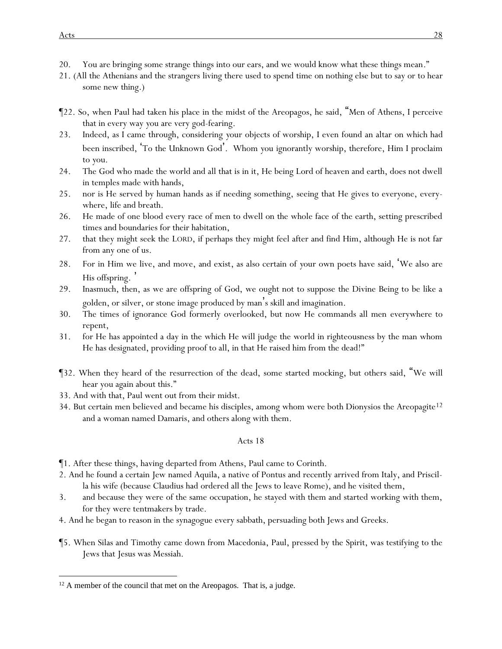- 20. You are bringing some strange things into our ears, and we would know what these things mean."
- 21. (All the Athenians and the strangers living there used to spend time on nothing else but to say or to hear some new thing.)
- ¶22. So, when Paul had taken his place in the midst of the Areopagos, he said, "Men of Athens, I perceive that in every way *y*ou are very god-fearing.
- 23. Indeed, as I came through, considering *y*our objects of worship, I even found an altar on which had been inscribed, 'To the Unknown God'. Whom *y*ou ignorantly worship, therefore, Him I proclaim to *y*ou.
- 24. The God who made the world and all that is in it, He being Lord of heaven and earth, does not dwell in temples made with hands,
- 25. nor is He served by human hands as if needing something, seeing that He gives to everyone, everywhere, life and breath.
- 26. He made of one blood every race of men to dwell on the whole face of the earth, setting prescribed times and boundaries for their habitation,
- 27. that they might seek the LORD, if perhaps they might feel after and find Him, although He is not far from any one of us.
- 28. For in Him we live, and move, and exist, as also certain of *y*our own poets have said, 'We also are His offspring.
- 29. Inasmuch, then, as we are offspring of God, we ought not to suppose the Divine Being to be like a golden, or silver, or stone image produced by man's skill and imagination.
- 30. The times of ignorance God formerly overlooked, but now He commands all men everywhere to repent,
- 31. for He has appointed a day in the which He will judge the world in righteousness by the man whom He has designated, providing proof to all, in that He raised him from the dead!"
- ¶32. When they heard of the resurrection of the dead, some started mocking, but others said, "We will hear you again about this."
- 33. And with that, Paul went out from their midst.
- 34. But certain men believed and became his disciples, among whom were both Dionysios the Areopagite<sup>12</sup> and a woman named Damaris, and others along with them.

¶1. After these things, having departed from Athens, Paul came to Corinth.

- 2. And he found a certain Jew named Aquila, a native of Pontus and recently arrived from Italy, and Priscilla his wife (because Claudius had ordered all the Jews to leave Rome), and he visited them,
- 3. and because they were of the same occupation, he stayed with them and started working with them, for they were tentmakers by trade.
- 4. And he began to reason in the synagogue every sabbath, persuading both Jews and Greeks.
- ¶5. When Silas and Timothy came down from Macedonia, Paul, pressed by the Spirit, was testifying to the Jews that Jesus was Messiah.

<sup>&</sup>lt;sup>12</sup> A member of the council that met on the Areopagos. That is, a judge.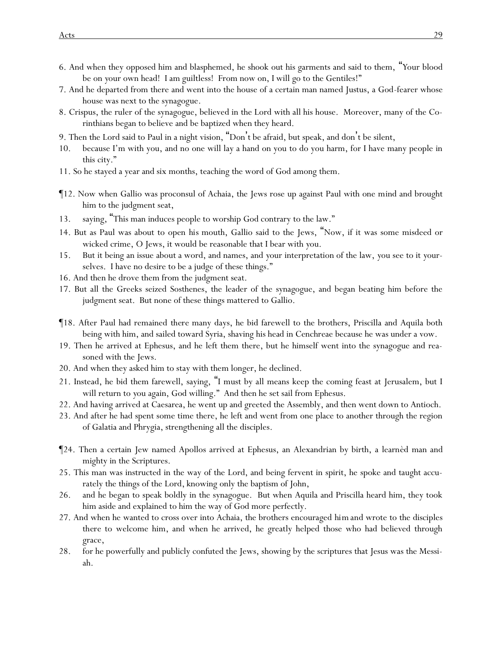- 6. And when they opposed him and blasphemed, he shook out his garments and said to them, "*Y*our blood be on your own head! I am guiltless! From now on, I will go to the Gentiles!"
- 7. And he departed from there and went into the house of a certain man named Justus, a God-fearer whose house was next to the synagogue.
- 8. Crispus, the ruler of the synagogue, believed in the Lord with all his house. Moreover, many of the Corinthians began to believe and be baptized when they heard.
- 9. Then the Lord said to Paul in a night vision, "Don't be afraid, but speak, and don't be silent,
- 10. because I'm with you, and no one will lay a hand on you to do you harm, for I have many people in this city."
- 11. So he stayed a year and six months, teaching the word of God among them.
- ¶12. Now when Gallio was proconsul of Achaia, the Jews rose up against Paul with one mind and brought him to the judgment seat,
- 13. saying, "This man induces people to worship God contrary to the law."
- 14. But as Paul was about to open *his* mouth, Gallio said to the Jews, "Now, if it was some misdeed or wicked crime, O Jews, it would be reasonable that I bear with *y*ou.
- 15. But it being an issue about a word, and names, and *y*our interpretation of the law, *y*ou see to it *y*ourselves. I have no desire to be a judge of these things."
- 16. And then he drove them from the judgment seat.
- 17. But all the Greeks seized Sosthenes, the leader of the synagogue, and began beating him before the judgment seat. But none of these things mattered to Gallio.
- ¶18. After Paul had remained *there* many days, he bid farewell to the brothers, Priscilla and Aquila both being with him, and sailed toward Syria, shaving his head in Cenchreae because he was under a vow.
- 19. Then he arrived at Ephesus, and he left them there, but he himself went into the synagogue and reasoned with the Jews.
- 20. And when they asked him to stay with them longer, he declined.
- 21. Instead, he bid them farewell, saying, "I must by all means keep the coming feast at Jerusalem, but I will return to *y*ou again, God willing." And then he set sail from Ephesus.
- 22. And having arrived at Caesarea, he went up and greeted the Assembly, and then went down to Antioch.
- 23. And after he had spent some time there, he left and went from one place to another through the region of Galatia and Phrygia, strengthening all the disciples.
- ¶24. Then a certain Jew named Apollos arrived at Ephesus, an Alexandrian by birth, a learnèd man and mighty in the Scriptures.
- 25. This man was instructed in the way of the Lord, and being fervent in spirit, he spoke and taught accurately the things of the Lord, knowing only the baptism of John,
- 26. and he began to speak boldly in the synagogue. But when Aquila and Priscilla heard him, they took him aside and explained to him the way of God more perfectly.
- 27. And when he wanted to cross over into Achaia, the brothers encouraged *him* and wrote to the disciples *there* to welcome him, and when he arrived, he greatly helped those who had believed through grace,
- 28. for he powerfully and publicly confuted the Jews, showing by the scriptures that Jesus was the Messiah.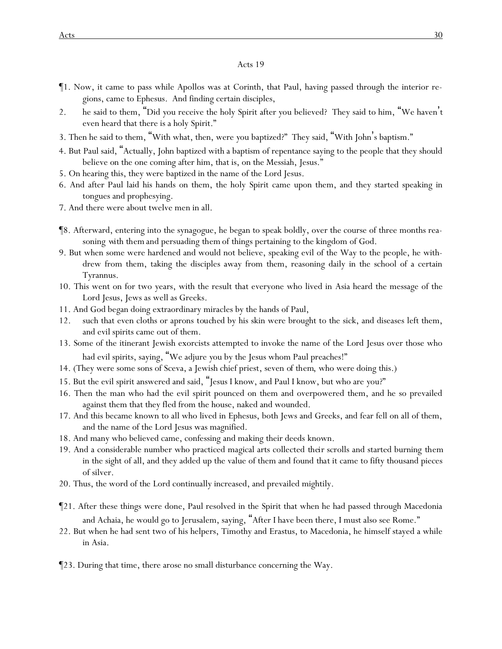- ¶1. Now, it came to pass while Apollos was at Corinth, that Paul, having passed through the interior regions, came to Ephesus. And finding certain disciples,
- 2. he said to them, "Did *y*ou receive the holy Spirit after *y*ou believed? They said to him, "We haven't even heard that there is a holy Spirit."
- 3. Then he said to them, "With what, then, were *y*ou baptized?" They said, "With John's baptism."
- 4. But Paul said, "Actually, John baptized with a baptism of repentance saying to the people that they should believe on the one coming after him, that is, on the Messiah, Jesus."
- 5. On hearing this, they were baptized in the name of the Lord Jesus.
- 6. And after Paul laid his hands on them, the holy Spirit came upon them, and they started speaking in tongues and prophesying.
- 7. And there were about twelve men in all.
- ¶8. Afterward, entering into the synagogue, he began to speak boldly, over the course of three months reasoning *with them* and persuading *them* of things pertaining to the kingdom of God.
- 9. But when some were hardened and would not believe, speaking evil of the Way to the people, he withdrew from them, taking the disciples away from them, reasoning daily in the school of a certain Tyrannus.
- 10. This went on for two years, with the result that everyone who lived in Asia heard the message of the Lord Jesus, Jews as well as Greeks.
- 11. And God began doing extraordinary miracles by the hands of Paul,
- 12. such that even cloths or aprons *touched* by his skin were brought to the sick, and diseases left them, and evil spirits came out of them.
- 13. Some of the itinerant Jewish exorcists attempted to invoke the name of the Lord Jesus over those who had evil spirits, saying, "We adjure *y*ou by the Jesus whom Paul preaches!"
- 14. (They were some sons of Sceva, a Jewish chief priest, seven *of them*, who were doing this.)
- 15. But the evil spirit answered and said, "Jesus I know, and Paul I know, but who are *y*ou?"
- 16. Then the man who had the evil spirit pounced on them and overpowered them, and he so prevailed against them that they fled from the house, naked and wounded.
- 17. And this became known to all who lived in Ephesus, both Jews and Greeks, and fear fell on all of them, and the name of the Lord Jesus was magnified.
- 18. And many who believed came, confessing and making their deeds known.
- 19. And a considerable number who practiced magical arts collected *their* scrolls and started burning *them* in the sight of all, and they added up the value of them and found *that* it came to fifty thousand pieces of silver.
- 20. Thus, the word of the Lord continually increased, and prevailed mightily.
- ¶21. After these things were done, Paul resolved in the Spirit that when he had passed through Macedonia and Achaia, he would go to Jerusalem, saying, "After I have been there, I must also see Rome."
- 22. But when he had sent two of his helpers, Timothy and Erastus, to Macedonia, he himself stayed a while in Asia.
- ¶23. During that time, there arose no small disturbance concerning the Way.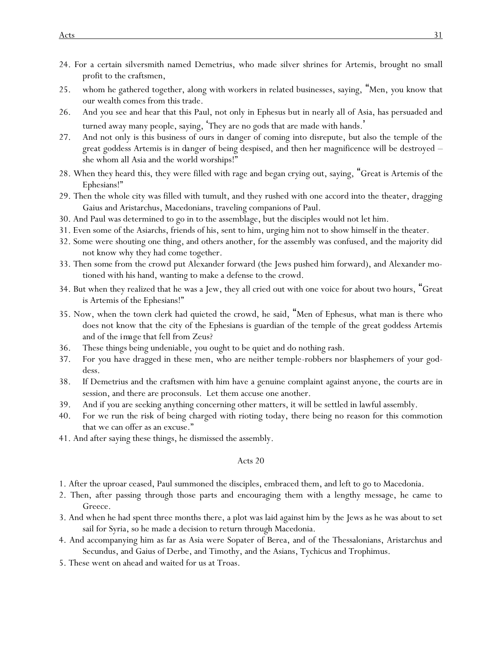- 24. For a certain silversmith named Demetrius, who made silver shrines for Artemis, brought no small profit to the craftsmen,
- 25. whom he gathered together, along with workers in related businesses, saying, "Men, *y*ou know that our wealth comes from this trade.
- 26. And *y*ou see and hear that this Paul, not only in Ephesus but in nearly all of Asia, has persuaded and turned away many people, saying, 'They are no gods that are made with hands. '
- 27. And not only is this business of ours in danger of coming into disrepute, but also the temple of the great goddess Artemis is *in danger of* being despised, and then her magnificence will be destroyed – she whom all Asia and the world worships!"
- 28. When they heard *this*, they were filled with rage and began crying out, saying, "Great is Artemis of the Ephesians!"
- 29. Then the whole city was filled with tumult, and they rushed with one accord into the theater, dragging Gaius and Aristarchus, Macedonians, traveling companions of Paul.
- 30. And Paul was determined to go in to the assemblage, but the disciples would not let him.
- 31. Even some of the Asiarchs, friends of his, sent to him, urging him not to show himself in the theater.
- 32. Some were shouting one thing, and others another, for the assembly was confused, and the majority did not know why they had come together.
- 33. Then *some* from the crowd put Alexander forward (the Jews pushed him forward), and Alexander motioned with his hand, wanting to make a defense to the crowd.
- 34. But when they realized that he was a Jew, they all cried out with one voice for about two hours, "Great is Artemis of the Ephesians!"
- 35. Now, when the town clerk had quieted the crowd, he said, "Men of Ephesus, what man is there who does not know that the city of the Ephesians is guardian of the temple of the great goddess Artemis and of the *image* that fell from Zeus?
- 36. These things being undeniable, *y*ou ought to be quiet and do nothing rash.
- 37. For *y*ou have dragged in these men, who are neither temple-robbers nor blasphemers of *y*our goddess.
- 38. If Demetrius and the craftsmen with him have a genuine complaint against anyone, the courts are in session, and there are proconsuls. Let them accuse one another.
- 39. And if *y*ou are seeking anything concerning other matters, it will be settled in lawful assembly.
- 40. For we run the risk of being charged with rioting today, there being no reason for this commotion that we can offer as an excuse."
- 41. And after saying these things, he dismissed the assembly.

- 1. After the uproar ceased, Paul summoned the disciples, embraced them, and left to go to Macedonia.
- 2. Then, after passing through those parts and encouraging them with a lengthy message, he came to Greece.
- 3. And when he had spent three months there, a plot was laid against him by the Jews as he was about to set sail for Syria, so he made a decision to return through Macedonia.
- 4. And accompanying him as far as Asia were Sopater of Berea, and of the Thessalonians, Aristarchus and Secundus, and Gaius of Derbe, and Timothy, and the Asians, Tychicus and Trophimus.
- 5. These went on ahead and waited for us at Troas.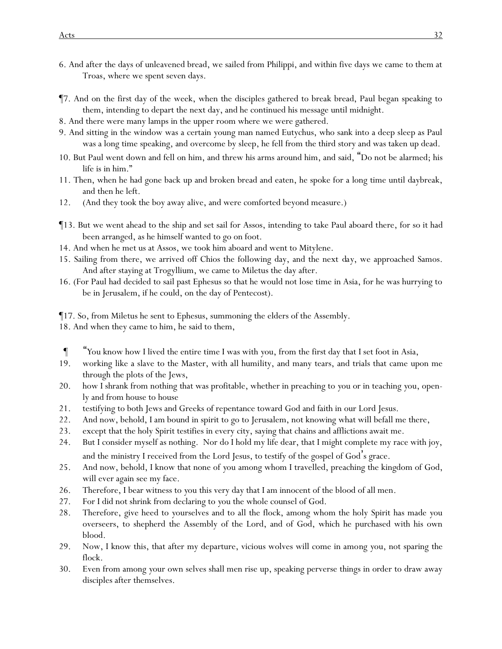- 6. And after the days of unleavened bread, we sailed from Philippi, and within five days we came to them at Troas, where we spent seven days.
- ¶7. And on the first day of the week, when the disciples gathered to break bread, Paul began speaking to them, intending to depart the next day, and he continued his message until midnight.
- 8. And there were many lamps in the upper room where we were gathered.
- 9. And sitting in the window was a certain young man named Eutychus, who sank into a deep sleep as Paul was a long time speaking, and overcome by sleep, he fell from the third story and was taken up dead.
- 10. But Paul went down and fell on him, and threw his arms around him, and said, "Do not be alarmed; his life is in him."
- 11. Then, when he had gone back up and broken bread and eaten, he spoke for a long time until daybreak, and then he left.
- 12. (And they took the boy away alive, and were comforted beyond measure.)
- ¶13. But we went ahead to the ship and set sail for Assos, intending to take Paul aboard there, for so it had been arranged, as he himself wanted to go on foot.
- 14. And when he met us at Assos, we took him aboard and went to Mitylene.
- 15. Sailing from there, we arrived off Chios the following day, and the next *day*, we approached Samos. And after staying at Trogyllium, we came to Miletus the day after.
- 16. (For Paul had decided to sail past Ephesus so that he would not lose time in Asia, for he was hurrying to be in Jerusalem, if he could, on the day of Pentecost).
- ¶17. So, from Miletus he sent to Ephesus, summoning the elders of the Assembly.
- 18. And when they came to him, he said to them,
- ¶ "*Y*ou know how I lived the entire time I was with *y*ou, from the first day that I set foot in Asia,
- 19. working like a slave to the Master, with all humility, and many tears, and trials that came upon me through the plots of the Jews,
- 20. how I shrank from nothing that was profitable, whether in preaching to *y*ou or in teaching *y*ou, openly and from house to house
- 21. testifying to both Jews and Greeks of repentance toward God and faith in our Lord Jesus.
- 22. And now, behold, I am bound in spirit to go to Jerusalem, not knowing what will befall me there,
- 23. except that the holy Spirit testifies in every city, saying that chains and afflictions await me.
- 24. But I consider myself as nothing. Nor do I hold my life dear, that I might complete my race with joy, and the ministry I received from the Lord Jesus, to testify of the gospel of God's grace.
- 25. And now, behold, I know that none of *y*ou among whom I travelled, preaching the kingdom of God, will ever again see my face.
- 26. Therefore, I bear witness to *y*ou this very day that I am innocent of the blood of all men.
- 27. For I did not shrink from declaring to *y*ou the whole counsel of God.
- 28. Therefore, give heed to *y*ourselves and to all the flock, among whom the holy Spirit has made *y*ou overseers, to shepherd the Assembly of the Lord, and of God, which he purchased with his own blood.
- 29. Now, I know this, that after my departure, vicious wolves will come in among *y*ou, not sparing the flock.
- 30. Even from among *y*our own selves shall men rise up, speaking perverse things in order to draw away disciples after themselves.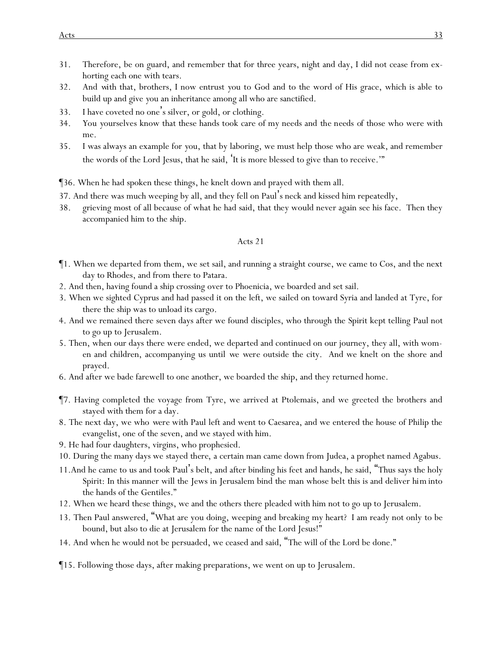- 31. Therefore, be on guard, and remember that for three years, night and day, I did not cease from exhorting each one with tears.
- 32. And *with* that, brothers, I now entrust *y*ou to God and to the word of His grace, which is able to build up and give *y*ou an inheritance among all who are sanctified.
- 33. I have coveted no one's silver, or gold, or clothing.
- 34. *Y*ou *y*ourselves know that these hands took care of my needs and *the needs of* those who were with me.
- 35. I was always an example for *y*ou, that by laboring, we must help those who are weak, and remember the words of the Lord Jesus, that he said, 'It is more blessed to give than to receive.'"
- ¶36. When he had spoken these things, he knelt down and prayed with them all.
- 37. And there was much weeping by all, and they fell on Paul's neck and kissed him repeatedly,
- 38. grieving most of all because of what he had said, that they would never again see his face. Then they accompanied him to the ship.

- ¶1. When we departed from them, we set sail, and running a straight course, we came to Cos, and the next day to Rhodes, and from there to Patara.
- 2. And then, having found a ship crossing over to Phoenicia, we boarded and set sail.
- 3. When we sighted Cyprus and had passed it on the left, we sailed on toward Syria and landed at Tyre, for there the ship was to unload its cargo.
- 4. And we remained there seven days after we found disciples, who through the Spirit kept telling Paul not to go up to Jerusalem.
- 5. Then, when our days there were ended, we departed and continued on our journey, they all, with women and children, accompanying us until *we were* outside the city. And we knelt on the shore and prayed.
- 6. And after we bade farewell to one another, we boarded the ship, and they returned home.
- ¶7. Having completed the voyage from Tyre, we arrived at Ptolemais, and we greeted the brothers and stayed with them for a day.
- 8. The next day, we who *were* with Paul left and went to Caesarea, and we entered the house of Philip the evangelist, one of the seven, and we stayed with him.
- 9. He had four daughters, virgins, who prophesied.
- 10. During the many days we stayed *there*, a certain man came down from Judea, a prophet named Agabus.
- 11.And he came to us and took Paul's belt, and after binding his feet and hands, he said, "Thus says the holy Spirit: In this manner will the Jews in Jerusalem bind the man whose belt this is and deliver *him* into the hands of the Gentiles."
- 12. When we heard these things, we and the others there pleaded with him not to go up to Jerusalem.
- 13. Then Paul answered, "What are you doing, weeping and breaking my heart? I am ready not only to be bound, but also to die at Jerusalem for the name of the Lord Jesus!"
- 14. And when he would not be persuaded, we ceased and said, "The will of the Lord be done."
- ¶15. Following those days, after making preparations, we went on up to Jerusalem.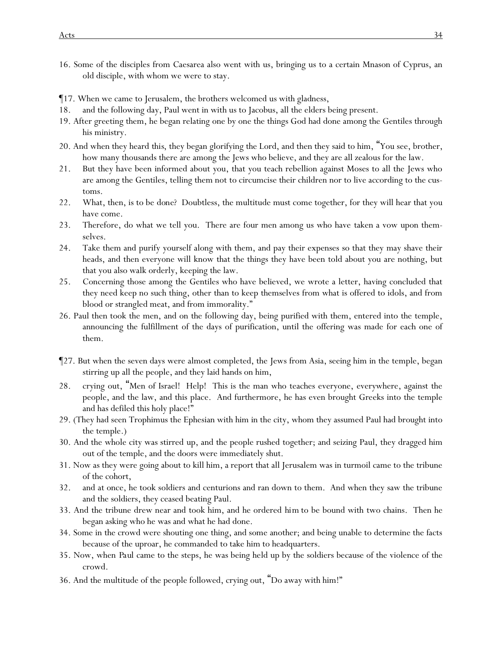- ¶17. When we came to Jerusalem, the brothers welcomed us with gladness,
- 18. and the following day, Paul went in with us to Jacobus, all the elders being present.
- 19. After greeting them, he began relating one by one the things God had done among the Gentiles through his ministry.
- 20. And when they heard *this*, they began glorifying the Lord, and then they said to him, "You see, brother, how many thousands there are among the Jews who believe, and they are all zealous for the law.
- 21. But they have been informed about you, that you teach rebellion against Moses to all the Jews who are among the Gentiles, telling them not to circumcise their children nor to live according to the customs.
- 22. What, then, is to be *done*? Doubtless, the multitude must come together, for they will hear that you have come.
- 23. Therefore, do what we tell you. There are four men among us who have taken a vow upon themselves.
- 24. Take them and purify yourself along with them, and pay their expenses so that they may shave their heads, and then everyone will know that the things they have been told about you are nothing, but that you also walk orderly, keeping the law.
- 25. Concerning those among the Gentiles who have believed, we wrote a letter, having concluded that they need keep no such thing, other than to keep themselves from what is offered to idols, and from blood or strangled meat, and from immorality."
- 26. Paul then took the men, and on the following day, being purified with them, entered into the temple, announcing the fulfillment of the days of purification, until the offering was made for each one of them.
- ¶27. But when the seven days were almost completed, the Jews from Asia, seeing him in the temple, began stirring up all the people, and they laid hands on him,
- 28. crying out, "Men of Israel! Help! This is the man who teaches everyone, everywhere, against the people, and the law, and this place. And furthermore, he has even brought Greeks into the temple and has defiled this holy place!"
- 29. (They had seen Trophimus the Ephesian with him in the city, whom they assumed Paul had brought into the temple.)
- 30. And the whole city was stirred up, and the people rushed together; and seizing Paul, they dragged him out of the temple, and the doors were immediately shut.
- 31. Now as they were going about to kill him, a report that all Jerusalem was in turmoil came to the tribune of the cohort,
- 32. and at once, he took soldiers and centurions and ran down to them. And when they saw the tribune and the soldiers, they ceased beating Paul.
- 33. And the tribune drew near and took him, and he ordered *him* to be bound with two chains. Then he began asking who he was and what he had done.
- 34. Some in the crowd were shouting one thing, and some another; and being unable to determine the facts because of the uproar, he commanded to take him to headquarters.
- 35. Now, when *Paul* came to the steps, he was being held up by the soldiers because of the violence of the crowd.
- 36. And the multitude of the people followed, crying out, "Do away with him!"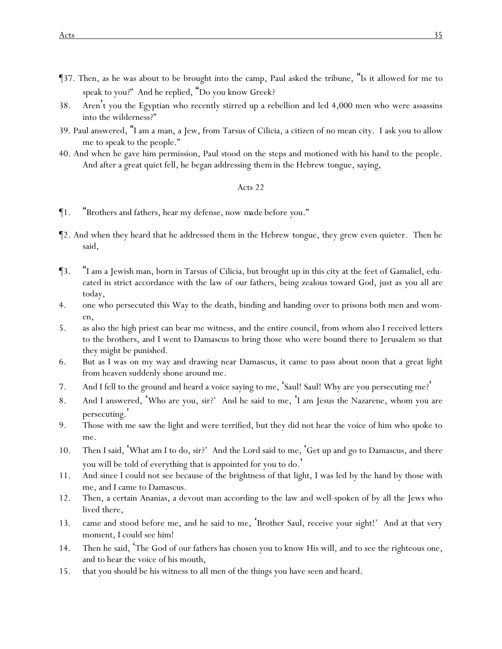- ¶37. Then, as he was about to be brought into the camp, Paul asked the tribune, "Is it allowed for me to speak to you?" And he replied, "Do you know Greek?
- 38. Aren't you the Egyptian who recently stirred up a rebellion and led 4,000 men who were assassins into the wilderness?"
- 39. Paul answered, "I am a man, a Jew, from Tarsus of Cilicia, a citizen of no mean city. I ask you to allow me to speak to the people."
- 40. And when he gave him permission, Paul stood on the steps and motioned with his hand to the people. And after a great quiet fell, he began addressing *them* in the Hebrew tongue, saying,

- ¶1. "Brothers and fathers, hear my defense, now *made* before *y*ou."
- ¶2. And when they heard that he addressed them in the Hebrew tongue, they grew even quieter. Then he said,
- ¶3. "I am a Jewish man, born in Tarsus of Cilicia, but brought up in this city at the feet of Gamaliel, educated in strict accordance with the law of *our* fathers, being zealous toward God, just as *y*ou all are today,
- 4. one who persecuted this Way to the death, binding and handing over to prisons both men and women,
- 5. as also the high priest can bear me witness, and the entire council, from whom also I received letters to the brothers, and I went to Damascus to bring those who were bound there to Jerusalem so that they might be punished.
- 6. But as I was on my way and drawing near Damascus, it came to pass about noon that a great light from heaven suddenly shone around me.
- 7. And I fell to the ground and heard a voice saying to me, 'Saul! Saul! Why are you persecuting me? '
- 8. And I answered, 'Who are you, sir?' And he said to me, 'I am Jesus the Nazarene, whom you are persecuting. '
- 9. Those with me saw the light and were terrified, but they did not hear the voice of him who spoke to me.
- 10. Then I said, 'What am I to do, sir?' And the Lord said to me, 'Get up and go to Damascus, and there you will be told of everything that is appointed for you to do. '
- 11. And since I could not see because of the brightness of that light, I was led by the hand by those with me, and I came to Damascus.
- 12. Then, a certain Ananias, a devout man according to the law and well-spoken of by all the Jews who lived there,
- 13. came and stood before me, and he said to me, 'Brother Saul, receive your sight!' And at that very moment, I could see him!
- 14. Then he said, 'The God of our fathers has chosen you to know His will, and to see the righteous one, and to hear the voice of his mouth,
- 15. that you should be his witness to all men of the things you have seen and heard.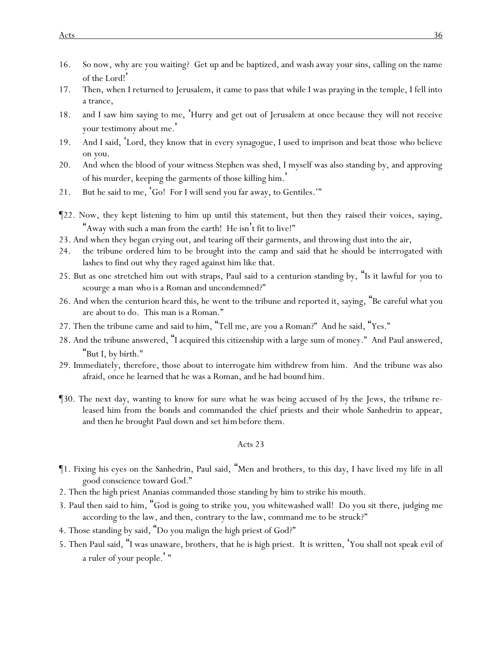- 16. So now, why are you waiting? Get up and be baptized, and wash away your sins, calling on the name of the Lord!'
- 17. Then, when I returned to Jerusalem, it came to pass that while I was praying in the temple, I fell into a trance,
- 18. and I saw him saying to me, 'Hurry and get out of Jerusalem at once because they will not receive your testimony about me. '
- 19. And I said, 'Lord, they know that in every synagogue, I used to imprison and beat those who believe on you.
- 20. And when the blood of your witness Stephen was shed, I myself was also standing by, and approving of his murder, keeping the garments of those killing him.'
- 21. But he said to me, 'Go! For I will send you far away, to Gentiles.'"
- ¶22. Now, they kept listening to him up until this statement, but then they raised their voices, saying, "Away with such a man from the earth! He isn't fit to live!"
- 23. And when they began crying out, and tearing off their garments, and throwing dust into the air,
- 24. the tribune ordered him to be brought into the camp and said that he should be interrogated with lashes to find out why they raged against him like that.
- 25. But as one stretched him out with straps, Paul said to a centurion standing by, "Is it lawful for *y*ou to scourge a man *who is* a Roman and uncondemned?"
- 26. And when the centurion heard *this*, he went to the tribune and reported it, saying, "Be careful what you are about to do. This man is a Roman."
- 27. Then the tribune came and said to him, "Tell me, are you a Roman?" And he said, "Yes."
- 28. And the tribune answered, "I acquired this citizenship with a large sum of money." And Paul answered, "But I, by birth."
- 29. Immediately, therefore, those about to interrogate him withdrew from him. And the tribune was also afraid, once he learned that he was a Roman, and he had bound him.
- ¶30. The next day, wanting to know for sure what he was being accused of by the Jews, *the tribune* released him from the bonds and commanded the chief priests and their whole Sanhedrin to appear, and then he brought Paul down and set *him*before them.

- ¶1. Fixing his eyes on the Sanhedrin, Paul said, "Men and brothers, to this day, I have lived my life in all good conscience toward God."
- 2. Then the high priest Ananias commanded those standing by him to strike his mouth.
- 3. Paul then said to him, "God is going to strike you, you whitewashed wall! Do you sit *there*, judging me according to the law, and then, contrary to the law, command me to be struck?"
- 4. Those standing by said, "Do you malign the high priest of God?"
- 5. Then Paul said, "I was unaware, brothers, that he is high priest. It is written, 'You shall not speak evil of a ruler of your people. ' "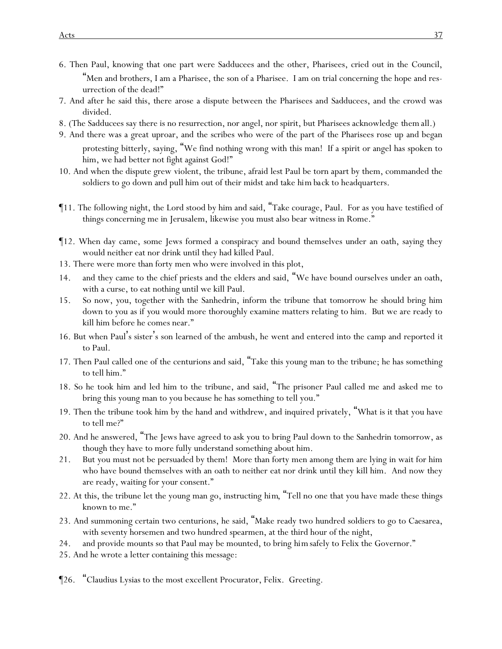- 6. Then Paul, knowing that one part were Sadducees and the other, Pharisees, cried out in the Council, "Men and brothers, I am a Pharisee, the son of a Pharisee. I am on trial concerning the hope and resurrection of the dead!"
- 7. And after he said this, there arose a dispute between the Pharisees and Sadducees, and the crowd was divided.
- 8. (The Sadducees say there is no resurrection, nor angel, nor spirit, but Pharisees acknowledge *them* all.)
- 9. And there was a great uproar, and the scribes who were of the part of the Pharisees rose up and began protesting bitterly, saying, "We find nothing wrong with this man! If a spirit or angel has spoken to him, we had better not fight against God!"
- 10. And when the dispute grew violent, the tribune, afraid lest Paul be torn apart by them, commanded the soldiers to go down and pull him out of their midst and take *him back* to headquarters.
- ¶11. The following night, the Lord stood by him and said, "Take courage, Paul. For as you have testified of things concerning me in Jerusalem, likewise you must also bear witness in Rome."
- ¶12. When day came, some Jews formed a conspiracy and bound themselves under an oath, saying they would neither eat nor drink until they had killed Paul.
- 13. There were more than forty men who were involved in this plot,
- 14. and they came to the chief priests and the elders and said, "We have bound ourselves under an oath, with a curse, to eat nothing until we kill Paul.
- 15. So now, *y*ou, together with the Sanhedrin, inform the tribune that tomorrow he should bring him down to *y*ou as if *y*ou would more thoroughly examine matters relating to him. But we are ready to kill him before he comes near."
- 16. But when Paul's sister's son learned of the ambush, he went and entered into the camp and reported *it* to Paul.
- 17. Then Paul called one of the centurions and said, "Take this young man to the tribune; he has something to tell him."
- 18. So he took him and led him to the tribune, and said, "The prisoner Paul called me and asked me to bring this young man to you because he has something to tell you."
- 19. Then the tribune took him by the hand and withdrew, and inquired privately, "What is it that you have to tell me?"
- 20. And he answered, "The Jews have agreed to ask you to bring Paul down to the Sanhedrin tomorrow, as though they have to more fully understand something about him.
- 21. But you must not be persuaded by them! More than forty men among them are lying in wait for him who have bound themselves with an oath to neither eat nor drink until they kill him. And now they are ready, waiting for your consent."
- 22. At this, the tribune let the young man go, instructing *him*, "Tell no one that you have made these things known to me."
- 23. And summoning certain two centurions, he said, "Make ready two hundred soldiers to go to Caesarea, with seventy horsemen and two hundred spearmen, at the third hour of the night,
- 24. and provide mounts so that Paul may be mounted, to bring *him*safely to Felix the Governor."
- 25. And he wrote a letter containing this message:
- ¶26. "Claudius Lysias to the most excellent Procurator, Felix. Greeting.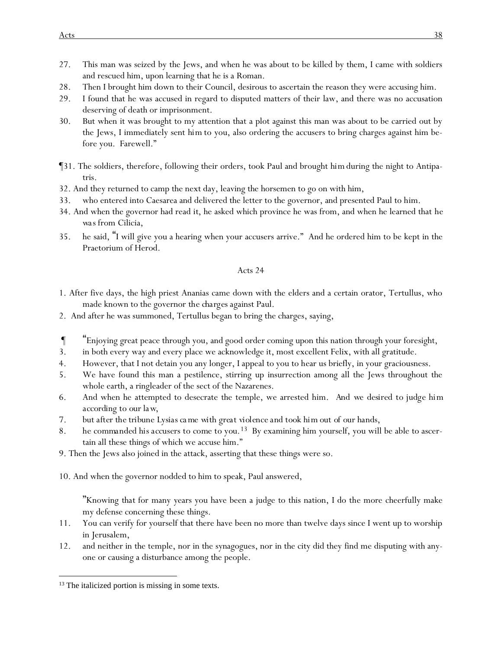- 27. This man was seized by the Jews, and when he was about to be killed by them, I came with soldiers and rescued him, upon learning that he is a Roman.
- 28. Then I brought him down to their Council, desirous to ascertain the reason they were accusing him.
- 29. I found that he was accused in regard to disputed matters of their law, and there was no accusation deserving of death or imprisonment.
- 30. But when it was brought to my attention that a plot against this man was about to be carried out by the Jews, I immediately sent *him* to you, also ordering the accusers to bring charges against him before you. Farewell."
- ¶31. The soldiers, therefore, following their orders, took Paul and brought *him* during the night to Antipatris.
- 32. And they returned to camp the next day, leaving the horsemen to go on with him,
- 33. who entered into Caesarea and delivered the letter to the governor, and presented Paul to him.
- 34. And when the governor had read *it*, he asked which province he was from, and when he learned that *he was* from Cilicia,
- 35. he said, "I will give you a hearing when your accusers arrive." And he ordered him to be kept in the Praetorium of Herod.

- 1. After five days, the high priest Ananias came down with the elders and a certain orator, Tertullus, who made known to the governor *the charges* against Paul.
- 2. And after he was summoned, Tertullus began to bring the charges, saying,
- ¶ "Enjoying great peace through you, and good order coming upon this nation through your foresight,
- 3. in both every way and every place we acknowledge it, most excellent Felix, with all gratitude.
- 4. However, that I not detain you any longer, I appeal to you to hear us briefly, in your graciousness.
- 5. We have found this man a pestilence, stirring up insurrection among all the Jews throughout the whole earth, a ringleader of the sect of the Nazarenes.
- 6. And when he attempted to desecrate the temple, we arrested him. *And we desired to judge him according to our law,*
- *7. but after the tribune Lysias ca me with great violence and took him out of our hands,*
- 8. *he commanded his accusers to come to you.*13 By examining him yourself, you will be able to ascertain all these things of which we accuse him."
- 9. Then the Jews also joined in the attack, asserting that these things were so.
- 10. And when the governor nodded to him to speak, Paul answered,

"Knowing *that* for many years you have been a judge to this nation, I do the more cheerfully make my defense concerning these things.

- 11. You can verify for yourself that there have been no more than twelve days since I went up to worship in Jerusalem,
- 12. and neither in the temple, nor in the synagogues, nor in the city did they find me disputing with anyone or causing a disturbance among the people.

<sup>&</sup>lt;sup>13</sup> The italicized portion is missing in some texts.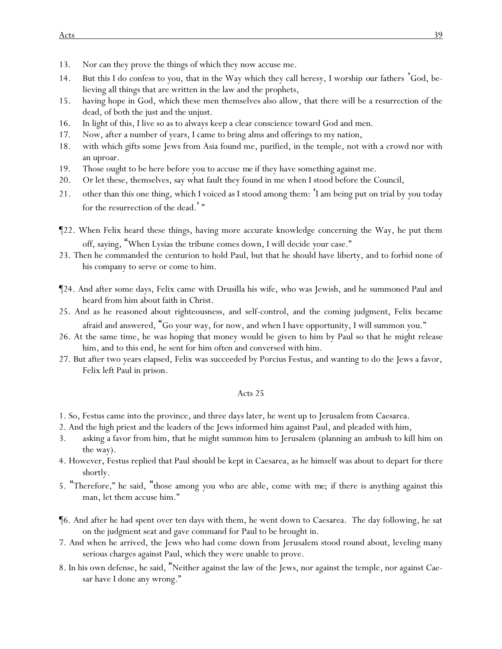- 13. Nor can they prove the things of which they now accuse me.
- 14. But this I do confess to you, that in the Way which they call heresy, I worship *our* fathers 'God, believing all things that are written in the law and the prophets,
- 15. having hope in God, which these men themselves also allow, that there will be a resurrection of the dead, of both the just and the unjust.
- 16. In light of this, I live so as to always keep a clear conscience toward God and men.
- 17. Now, after a number of years, I came to bring alms and offerings to my nation,
- 18. with which *gifts* some Jews from Asia found me, purified, in the temple, not with a crowd nor with an uproar.
- 19. Those ought to be here before you to accuse *me* if they have something against me.
- 20. Or let these, themselves, say what fault they found in me when I stood before the Council,
- 21. other than this one thing, which I voiced as I stood among them: 'I am being put on trial by *y*ou today for the resurrection of the dead.'"
- ¶22. When Felix heard these things, having more accurate knowledge concerning the Way, he put them off, saying, "When Lysias the tribune comes down, I will decide *y*our case."
- 23. Then he commanded the centurion to hold Paul, but that he should have liberty, and to forbid none of his company to serve or come to him.
- ¶24. And after some days, Felix came with Drusilla his wife, who was Jewish, and he summoned Paul and heard from him about faith in Christ.
- 25. And as he reasoned about righteousness, and self-control, and the coming judgment, Felix became afraid and answered, "Go your way, for now, and when I have opportunity, I will summon you."
- 26. At the same time, he was hoping that money would be given to him by Paul so that he might release him, and to this end, he sent for him often and conversed with him.
- 27. But after two years elapsed, Felix was succeeded by Porcius Festus, and wanting to do the Jews a favor, Felix left Paul in prison.

- 1. So, Festus came into the province, and three days later, he went up to Jerusalem from Caesarea.
- 2. And the high priest and the leaders of the Jews informed him against Paul, and pleaded with him,
- 3. asking a favor from him, that he might summon him to Jerusalem (planning an ambush to kill him on the way).
- 4. However, Festus replied *that* Paul should be kept in Caesarea, as he himself was about to depart *for there* shortly.
- 5. "Therefore," he said, "those among *y*ou who are able, come with *me*; if there is anything against this man, let them accuse him."
- ¶6. And after he had spent over ten days with them, he went down to Caesarea. The day following, he sat on the judgment seat and gave command for Paul to be brought in.
- 7. And when he arrived, the Jews who had come down from Jerusalem stood round about, leveling many serious charges against Paul, which they were unable to prove.
- 8. In his own defense, he said, "Neither against the law of the Jews, nor against the temple, nor against Caesar have I done any wrong."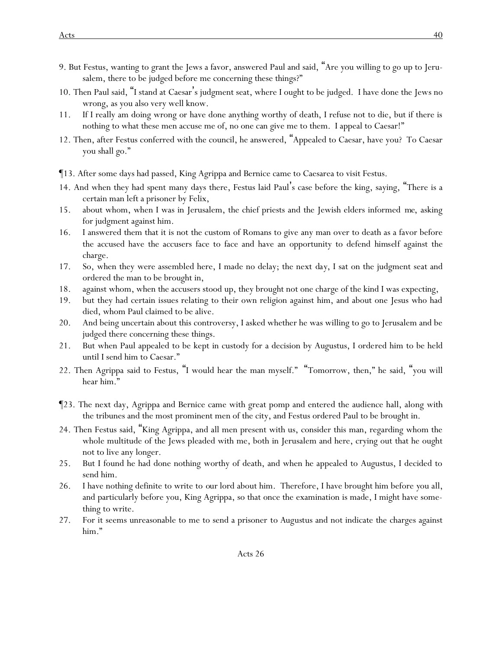- 9. But Festus, wanting to grant the Jews a favor, answered Paul and said, "Are you willing to go up to Jerusalem, there to be judged before me concerning these things?"
- 10. Then Paul said, "I stand at Caesar's judgment seat, where I ought to be judged. I have done the Jews no wrong, as you also very well know.
- 11. If I really am doing wrong or have done anything worthy of death, I refuse not to die, but if there is nothing to what these men accuse me of, no one can give me to them. I appeal to Caesar!"
- 12. Then, after Festus conferred with the council, he answered, "Appealed to Caesar, have you? To Caesar you shall go."
- ¶13. After some days had passed, King Agrippa and Bernice came to Caesarea to visit Festus.
- 14. And when they had spent many days there, Festus laid Paul's case before the king, saying, "There is a certain man left a prisoner by Felix,
- 15. about whom, when I was in Jerusalem, the chief priests and the Jewish elders informed *me*, asking for judgment against him.
- 16. I answered them that it is not the custom of Romans to give any man over to death as a favor before the accused have the accusers face to face and have an opportunity to defend *himself* against the charge.
- 17. So, when they were assembled here, I made no delay; the next *day*, I sat on the judgment seat and ordered the man to be brought in,
- 18. against whom, when the accusers stood up, they brought not one charge of the kind I was expecting,
- 19. but they had certain issues relating to their own religion against him, and about one Jesus who had died, whom Paul claimed to be alive.
- 20. And being uncertain about this controversy, I asked whether he was willing to go to Jerusalem and be judged there concerning these things.
- 21. But when Paul appealed to be kept in custody for a decision by Augustus, I ordered him to be held until I send him to Caesar."
- 22. Then Agrippa said to Festus, "I would hear the man myself." "Tomorrow, then," he said, "you will hear him."
- ¶23. The next day, Agrippa and Bernice came with great pomp and entered the audience hall, along with the tribunes and the most prominent men of the city, and Festus ordered Paul to be brought in.
- 24. Then Festus said, "King Agrippa, and all men present with us, consider this man, regarding whom the whole multitude of the Jews pleaded with me, both in Jerusalem and here, crying out that he ought not to live any longer.
- 25. But I found he had done nothing worthy of death, and when he appealed to Augustus, I decided to send him.
- 26. I have nothing definite to write to *our* lord about him. Therefore, I have brought him before *y*ou *all*, and particularly before you, King Agrippa, so that once the examination is made, I might have something to write.
- 27. For it seems unreasonable to me to send a prisoner *to Augustus* and not indicate the charges against him."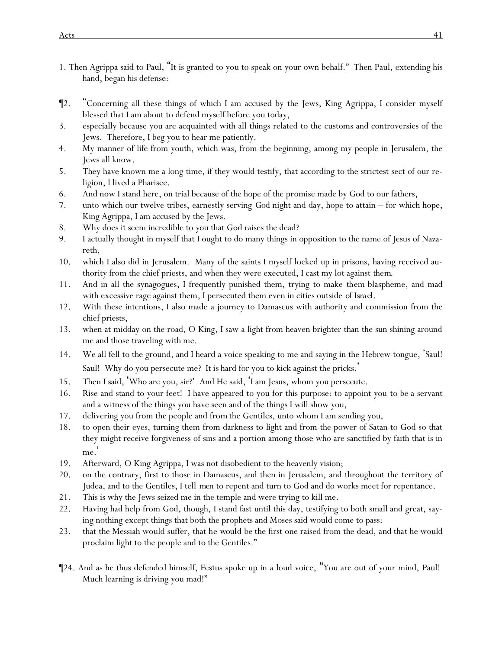- 1. Then Agrippa said to Paul, "It is granted to you to speak on your own behalf." Then Paul, extending his hand, began his defense:
- ¶2. "Concerning all these things of which I am accused by the Jews, King Agrippa, I consider myself blessed that I am about to defend myself before you today,
- 3. especially because you are acquainted with all things related to the customs and controversies of the Jews. Therefore, I beg you to hear me patiently.
- 4. My manner of life from youth, which was, from the beginning, among my people in Jerusalem, the Jews all know.
- 5. They have known me a long time, if they would testify, that according to the strictest sect of our religion, I lived a Pharisee.
- 6. And now I stand here, on trial because of the hope of the promise made by God to our fathers,
- 7. unto which our twelve tribes, earnestly serving *God* night and day, hope to attain for which hope, King Agrippa, I am accused by the Jews.
- 8. Why does it seem incredible to *y*ou that God raises the dead?
- 9. I actually thought in myself that I ought to do many things in opposition to the name of Jesus of Nazareth,
- 10. which I also did in Jerusalem. Many of the saints I myself locked up in prisons, having received authority from the chief priests, and when they were executed, I cast my lot against *them*.
- 11. And in all the synagogues, I frequently punished them, trying to make *them* blaspheme, and mad with excessive rage against them, I persecuted them even in cities outside *of Israel*.
- 12. With these intentions, I also made a journey to Damascus with authority and commission from the chief priests,
- 13. when at midday on the road, O King, I saw a light from heaven brighter than the sun shining around me and those traveling with me.
- 14. We all fell to the ground, and I heard a voice speaking to me and saying in the Hebrew tongue, 'Saul! Saul! Why do you persecute me? *It is* hard for you to kick against the pricks. '
- 15. Then I said, 'Who are you, sir?' And He said, 'I am Jesus, whom you persecute.
- 16. Rise and stand to your feet! I have appeared to you for this purpose: to appoint you *to be* a servant and a witness of the things you have seen and of the things I will show you,
- 17. delivering you from the people and *from* the Gentiles, unto whom I am sending you,
- 18. to open their eyes, turning them from darkness to light and from the power of Satan to God so that they might receive forgiveness of sins and a portion among those who are sanctified by faith that is in me.'
- 19. Afterward, O King Agrippa, I was not disobedient to the heavenly vision;
- 20. on the contrary, first to those in Damascus, and then in Jerusalem, and throughout the territory of Judea, and to the Gentiles, I tell *men* to repent and turn to God and do works meet for repentance.
- 21. This is why the Jews seized me in the temple and were trying to kill me.
- 22. Having had help from God, though, I stand fast until this day, testifying to both small and great, saying nothing except things that both the prophets and Moses said would come to pass:
- 23. that the Messiah would suffer, that *he would be* the first one raised from the dead, *and that* he would proclaim light to the people and to the Gentiles."
- ¶24. And as he thus defended himself, Festus spoke up in a loud voice, "You are out of your mind, Paul! Much learning is driving you mad!"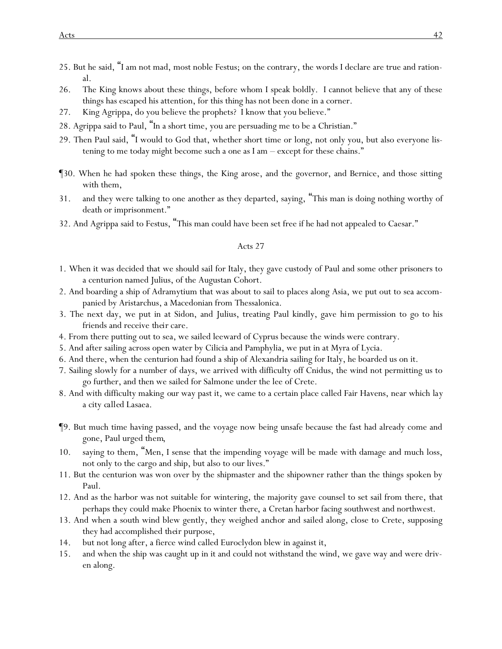- 25. But he said, "I am not mad, most noble Festus; on the contrary, the words I declare are true and rational.
- 26. The King knows about these things, before whom I speak boldly. I cannot believe that any of these things has escaped his attention, for this thing has not been done in a corner.
- 27. King Agrippa, do you believe the prophets? I know that you believe."
- 28. Agrippa said to Paul, "In a short time, you are persuading me to be a Christian."
- 29. Then Paul said, "I would to God that, whether short time or long, not only you, but also everyone listening to me today might become such a one as I am – except for these chains."
- ¶30. When he had spoken these things, the King arose, and the governor, and Bernice, and those sitting with them,
- 31. and they were talking to one another as they departed, saying, "This man is doing nothing worthy of death or imprisonment."
- 32. And Agrippa said to Festus, "This man could have been set free if he had not appealed to Caesar."

- 1. When it was decided that we should sail for Italy, they gave custody of Paul and some other prisoners to a centurion named Julius, of the Augustan Cohort.
- 2. And boarding a ship of Adramytium that was about to sail to places along Asia, we put out to sea accompanied by Aristarchus, a Macedonian from Thessalonica.
- 3. The next day, we put in at Sidon, and Julius, treating Paul kindly, gave *him* permission to go to his friends and receive *their* care.
- 4. From there putting out to sea, we sailed leeward of Cyprus because the winds were contrary.
- 5. And after sailing across open water by Cilicia and Pamphylia, we put in at Myra of Lycia.
- 6. And there, when the centurion had found a ship of Alexandria sailing for Italy, he boarded us on it.
- 7. Sailing slowly for a number of days, we arrived with difficulty off Cnidus, the wind not permitting us to go further, and then we sailed for Salmone under the lee of Crete.
- 8. And with difficulty making *our* way past it, we came to a certain place called Fair Havens, near which *lay* a city *called* Lasaea.
- ¶9. But much time having passed, and the voyage now being unsafe because the fast had already come and gone, Paul urged *them*,
- 10. saying to them, "Men, I sense that the impending voyage will be made with damage and much loss, not only to the cargo and ship, but also to our lives."
- 11. But the centurion was won over by the shipmaster and the shipowner rather than the things spoken by Paul.
- 12. And as the harbor was not suitable for wintering, the majority gave counsel to set sail from there, that perhaps they could make Phoenix to winter *there*, a Cretan harbor facing southwest and northwest.
- 13. And when a south wind blew gently, they weighed *anchor* and sailed along, close to Crete, supposing they had accomplished *their* purpose,
- 14. but not long after, a fierce wind called Euroclydon blew in against it,
- 15. and when the ship was caught up in it and could not withstand the wind, we gave way and were driven along.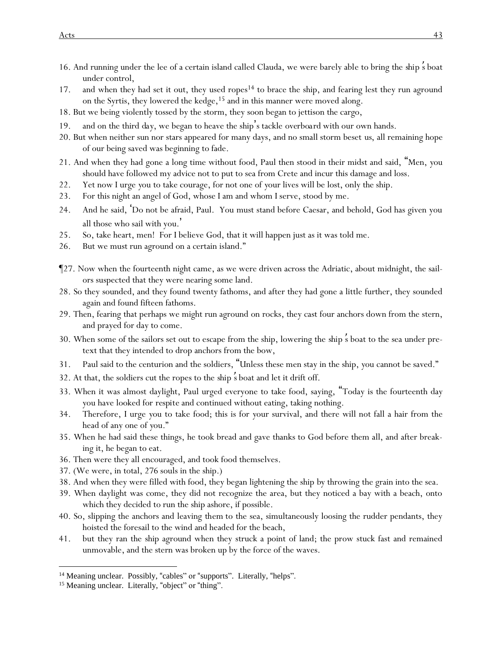- 16. And running under the lee of a certain island called Clauda, we were barely able to bring the *ship* '*s* boat under control,
- 17. and when they had set it out, they used ropes<sup>14</sup> to brace the ship, and fearing lest they run aground on the Syrtis, they lowered the kedge,<sup>15</sup> and in this manner were moved along.
- 18. But we being violently tossed by the storm, they soon began to jettison the cargo,
- 19. and on the third *day*, we began to heave the ship's tackle *overboard* with our own hands.
- 20. But when neither sun nor stars appeared for many days, and no small storm beset *us*, all remaining hope of our being saved was beginning to fade.
- 21. And when *they* had gone a long time without food, Paul then stood in their midst and said, "Men, *y*ou should have followed my advice not to put to sea from Crete and incur this damage and loss.
- 22. Yet now I urge *y*ou to take courage, for not one of *y*our lives will be lost, only the ship.
- 23. For this night an angel of God, whose I am and whom I serve, stood by me.
- 24. And he said, 'Do not be afraid, Paul. You must stand before Caesar, and behold, God has given you all those who sail with you. '
- 25. So, take heart, men! For I believe God, that it will happen just as it was told me.
- 26. But we must run aground on a certain island."
- ¶27. Now when the fourteenth night came, as we were driven across the Adriatic, about midnight, the sailors suspected that they were nearing some land.
- 28. So they sounded, and they found twenty fathoms, and after they had gone a little further, they sounded again and found fifteen fathoms.
- 29. Then, fearing that perhaps we might run aground on rocks, they cast four anchors down from the stern, and prayed for day to come.
- 30. When some of the sailors set out to escape from the ship, lowering the *ship* '*s* boat to the sea under pretext that they intended to drop anchors from the bow,
- 31. Paul said to the centurion and the soldiers, "Unless these men stay in the ship, *y*ou cannot be saved."
- 32. At that, the soldiers cut the ropes to the *ship* '*s* boat and let it drift off.
- 33. When it was almost daylight, Paul urged everyone to take food, saying, "Today is the fourteenth day *y*ou have looked for *respite* and continued without eating, taking nothing.
- 34. Therefore, I urge *y*ou to take food; this is for *y*our survival, and there will not fall a hair from the head of any one of *y*ou."
- 35. When he had said these things, he took bread and gave thanks to God before them all, and after breaking it, he began to eat.
- 36. Then were they all encouraged, and took food themselves.
- 37. (We were, in total, 276 souls in the ship.)
- 38. And when they were filled with food, they began lightening the ship *by* throwing the grain into the sea.
- 39. When daylight was come, they did not recognize the area, but they noticed a bay with a beach, onto which they decided to run the ship ashore, if possible.
- 40. So, slipping the anchors and leaving *them* to the sea, simultaneously loosing the rudder pendants, they hoisted the foresail to the wind and headed for the beach,
- 41. but they ran the ship aground when they struck a point of land; the prow stuck fast and remained unmovable, and the stern was broken up by the force of the waves.

<sup>&</sup>lt;sup>14</sup> Meaning unclear. Possibly, "cables" or "supports". Literally, "helps".

<sup>&</sup>lt;sup>15</sup> Meaning unclear. Literally, "object" or "thing".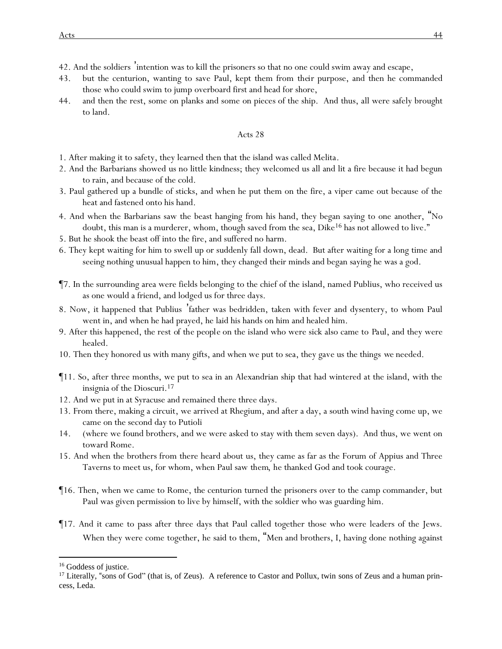- 42. And the soldiers 'intention was to kill the prisoners so that no one could swim away and escape,
- 43. but the centurion, wanting to save Paul, kept them from *their* purpose, and then he commanded those who could swim to jump overboard first and head for shore,
- 44. and then the rest, some on planks and some on pieces of the ship. And thus, all were safely brought to land.

- 1. After making it to safety, they learned then that the island was called Melita.
- 2. And the Barbarians showed us no little kindness; they welcomed us all and lit a fire because it had begun to rain, and because of the cold.
- 3. Paul gathered up a bundle of sticks, and when he put them on the fire, a viper came out because of the heat and fastened onto his hand.
- 4. And when the Barbarians saw the beast hanging from his hand, they began saying to one another, "No doubt, this man is a murderer, whom, though saved from the sea, Dike<sup>16</sup> has not allowed to live."
- 5. But he shook the beast off into the fire, and suffered no harm.
- 6. They kept waiting for him to swell up or suddenly fall down, dead. But after waiting for a long time and seeing nothing unusual happen to him, they changed their minds and began saying he was a god.
- ¶7. In the surrounding area were fields belonging to the chief of the island, named Publius, who received us as one would a friend, and lodged us for three days.
- 8. Now, it happened that Publius 'father was bedridden, taken with fever and dysentery, to whom Paul went in, and when he had prayed, he laid his hands on him and healed him.
- 9. After this happened, the rest *of the people* on the island who were sick also came to *Paul*, and they were healed.
- 10. Then they honored us with many gifts, and when we put to sea, they gave us the things *we* needed.
- ¶11. So, after three months, we put to sea in an Alexandrian ship that had wintered at the island, with the insignia of the Dioscuri.<sup>17</sup>
- 12. And we put in at Syracuse and remained there three days.
- 13. From there, making a circuit, we arrived at Rhegium, and after a day, a south wind having come up, we came on the second day to Putioli
- 14. (where we found brothers, and we were asked to stay with them seven days). And thus, we went on toward Rome.
- 15. And when the brothers from there heard about us, they came as far as the Forum of Appius and Three Taverns to meet us, for whom, when Paul saw *them*, he thanked God and took courage.
- ¶16. Then, when we came to Rome, the centurion turned the prisoners over to the camp commander, but Paul was given permission to live by himself, with the soldier who was guarding him.
- ¶17. And it came to pass after three days that Paul called together those who were leaders of the Jews. When they were come together, he said to them, "Men and brothers, I, having done nothing against

<sup>&</sup>lt;sup>16</sup> Goddess of justice.

<sup>&</sup>lt;sup>17</sup> Literally, "sons of God" (that is, of Zeus). A reference to Castor and Pollux, twin sons of Zeus and a human princess, Leda.